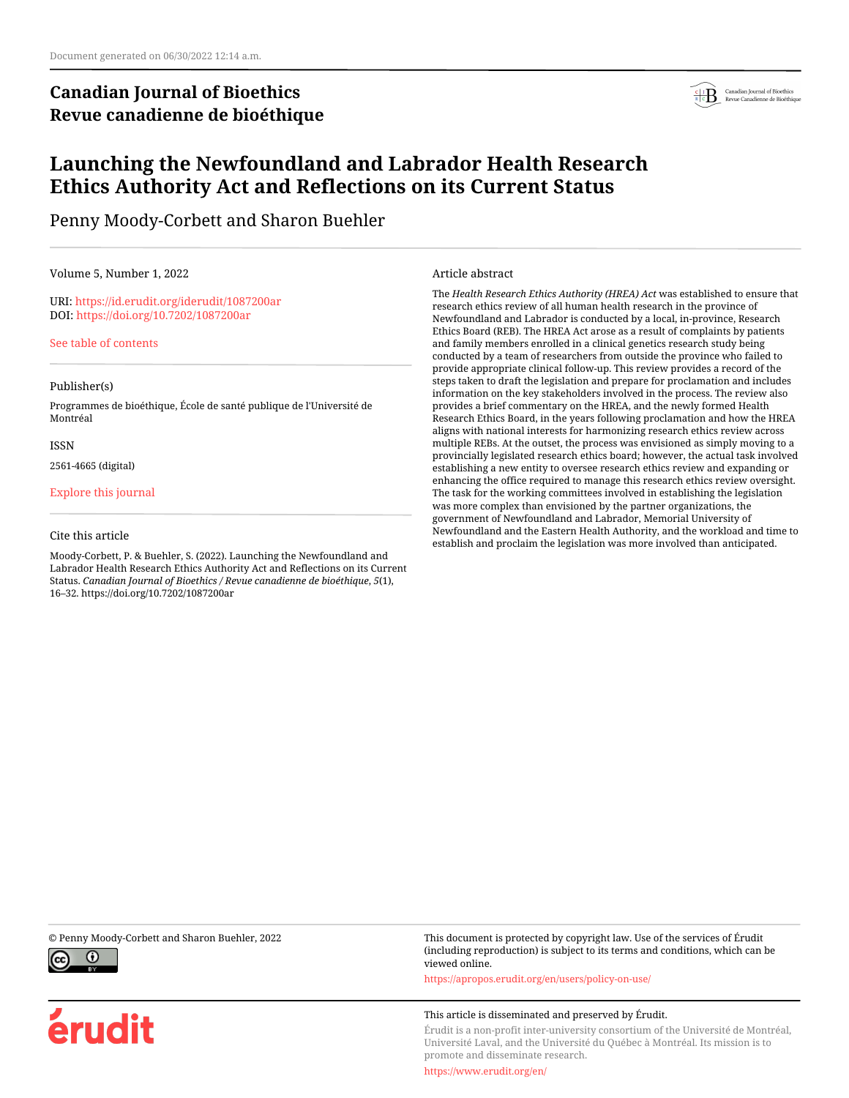# **Canadian Journal of Bioethics Revue canadienne de bioéthique**



# **Launching the Newfoundland and Labrador Health Research Ethics Authority Act and Reflections on its Current Status**

Penny Moody-Corbett and Sharon Buehler

Volume 5, Number 1, 2022

URI:<https://id.erudit.org/iderudit/1087200ar> DOI:<https://doi.org/10.7202/1087200ar>

[See table of contents](https://www.erudit.org/en/journals/bioethics/2022-v5-n1-bioethics06848/)

#### Publisher(s)

Programmes de bioéthique, École de santé publique de l'Université de Montréal

#### ISSN

2561-4665 (digital)

#### [Explore this journal](https://www.erudit.org/en/journals/bioethics/)

#### Cite this article

Moody-Corbett, P. & Buehler, S. (2022). Launching the Newfoundland and Labrador Health Research Ethics Authority Act and Reflections on its Current Status. *Canadian Journal of Bioethics / Revue canadienne de bioéthique*, *5*(1), 16–32. https://doi.org/10.7202/1087200ar

Article abstract

The *Health Research Ethics Authority (HREA) Act* was established to ensure that research ethics review of all human health research in the province of Newfoundland and Labrador is conducted by a local, in-province, Research Ethics Board (REB). The HREA Act arose as a result of complaints by patients and family members enrolled in a clinical genetics research study being conducted by a team of researchers from outside the province who failed to provide appropriate clinical follow-up. This review provides a record of the steps taken to draft the legislation and prepare for proclamation and includes information on the key stakeholders involved in the process. The review also provides a brief commentary on the HREA, and the newly formed Health Research Ethics Board, in the years following proclamation and how the HREA aligns with national interests for harmonizing research ethics review across multiple REBs. At the outset, the process was envisioned as simply moving to a provincially legislated research ethics board; however, the actual task involved establishing a new entity to oversee research ethics review and expanding or enhancing the office required to manage this research ethics review oversight. The task for the working committees involved in establishing the legislation was more complex than envisioned by the partner organizations, the government of Newfoundland and Labrador, Memorial University of Newfoundland and the Eastern Health Authority, and the workload and time to establish and proclaim the legislation was more involved than anticipated.



érudit

© Penny Moody-Corbett and Sharon Buehler, 2022 This document is protected by copyright law. Use of the services of Érudit (including reproduction) is subject to its terms and conditions, which can be viewed online.

<https://apropos.erudit.org/en/users/policy-on-use/>

#### This article is disseminated and preserved by Érudit.

Érudit is a non-profit inter-university consortium of the Université de Montréal, Université Laval, and the Université du Québec à Montréal. Its mission is to promote and disseminate research.

<https://www.erudit.org/en/>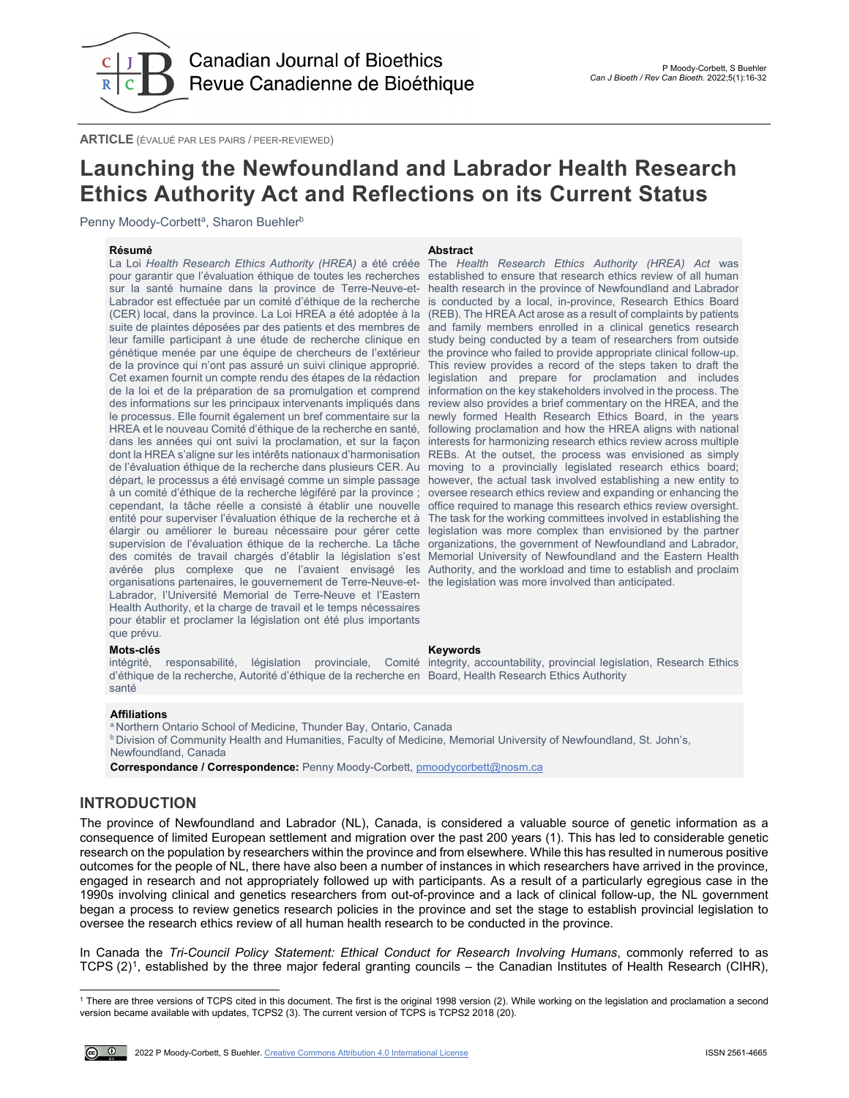

**ARTICLE** (ÉVALUÉ PAR LES PAIRS / PEER-REVIEWED)

# **Launching the Newfoundland and Labrador Health Research Ethics Authority Act and Reflections on its Current Status**

Penny Moody-Corbett<sup>a</sup>, Sharon Buehler<sup>b</sup>

**Résumé Abstract** La Loi *Health Research Ethics Authority (HREA)* a été créée pour garantir que l'évaluation éthique de toutes les recherches sur la santé humaine dans la province de Terre-Neuve-et-Labrador est effectuée par un comité d'éthique de la recherche is conducted by a local, in-province, Research Ethics Board (CER) local, dans la province. La Loi HREA a été adoptée à la (REB). The HREA Act arose as a result of complaints by patients suite de plaintes déposées par des patients et des membres de and family members enrolled in a clinical genetics research leur famille participant à une étude de recherche clinique en study being conducted by a team of researchers from outside génétique menée par une équipe de chercheurs de l'extérieur de la province qui n'ont pas assuré un suivi clinique approprié. Cet examen fournit un compte rendu des étapes de la rédaction de la loi et de la préparation de sa promulgation et comprend des informations sur les principaux intervenants impliqués dans le processus. Elle fournit également un bref commentaire sur la HREA et le nouveau Comité d'éthique de la recherche en santé, following proclamation and how the HREA aligns with national dans les années qui ont suivi la proclamation, et sur la façon interests for harmonizing research ethics review across multiple dont la HREA s'aligne sur les intérêts nationaux d'harmonisation REBs. At the outset, the process was envisioned as simply de l'évaluation éthique de la recherche dans plusieurs CER. Au moving to a provincially legislated research ethics board; départ, le processus a été envisagé comme un simple passage however, the actual task involved establishing a new entity to à un comité d'éthique de la recherche légiféré par la province ; oversee research ethics review and expanding or enhancing the cependant, la tâche réelle a consisté à établir une nouvelle office required to manage this research ethics review oversight. entité pour superviser l'évaluation éthique de la recherche et à élargir ou améliorer le bureau nécessaire pour gérer cette supervision de l'évaluation éthique de la recherche. La tâche des comités de travail chargés d'établir la législation s'est avérée plus complexe que ne l'avaient envisagé les Authority, and the workload and time to establish and proclaim organisations partenaires, le gouvernement de Terre-Neuve-et-the legislation was more involved than anticipated. Labrador, l'Université Memorial de Terre-Neuve et l'Eastern Health Authority, et la charge de travail et le temps nécessaires pour établir et proclamer la législation ont été plus importants que prévu.

The *Health Research Ethics Authority (HREA) Act* was established to ensure that research ethics review of all human health research in the province of Newfoundland and Labrador the province who failed to provide appropriate clinical follow-up. This review provides a record of the steps taken to draft the legislation and prepare for proclamation and includes information on the key stakeholders involved in the process. The review also provides a brief commentary on the HREA, and the newly formed Health Research Ethics Board, in the years The task for the working committees involved in establishing the legislation was more complex than envisioned by the partner organizations, the government of Newfoundland and Labrador, Memorial University of Newfoundland and the Eastern Health

### **Mots-clés Keywords**

intégrité, responsabilité, législation provinciale, Comité integrity, accountability, provincial legislation, Research Ethics d'éthique de la recherche, Autorité d'éthique de la recherche en Board, Health Research Ethics Authority santé

#### **Affiliations**

a Northern Ontario School of Medicine, Thunder Bay, Ontario, Canada

**b Division of Community Health and Humanities, Faculty of Medicine, Memorial University of Newfoundland, St. John's,** 

Newfoundland, Canada

**Correspondance / Correspondence:** Penny Moody-Corbett[, pmoodycorbett@nosm.ca](mailto:pmoodycorbett@nosm.ca)

## **INTRODUCTION**

The province of Newfoundland and Labrador (NL), Canada, is considered a valuable source of genetic information as a consequence of limited European settlement and migration over the past 200 years (1). This has led to considerable genetic research on the population by researchers within the province and from elsewhere. While this has resulted in numerous positive outcomes for the people of NL, there have also been a number of instances in which researchers have arrived in the province, engaged in research and not appropriately followed up with participants. As a result of a particularly egregious case in the 1990s involving clinical and genetics researchers from out-of-province and a lack of clinical follow-up, the NL government began a process to review genetics research policies in the province and set the stage to establish provincial legislation to oversee the research ethics review of all human health research to be conducted in the province.

In Canada the *Tri-Council Policy Statement: Ethical Conduct for Research Involving Humans*, commonly referred to as TCPS (2)[1](#page-1-0), established by the three major federal granting councils – the Canadian Institutes of Health Research (CIHR),

<span id="page-1-0"></span>l <sup>1</sup> There are three versions of TCPS cited in this document. The first is the original 1998 version (2). While working on the legislation and proclamation a second version became available with updates, TCPS2 (3). The current version of TCPS is TCPS2 2018 (20).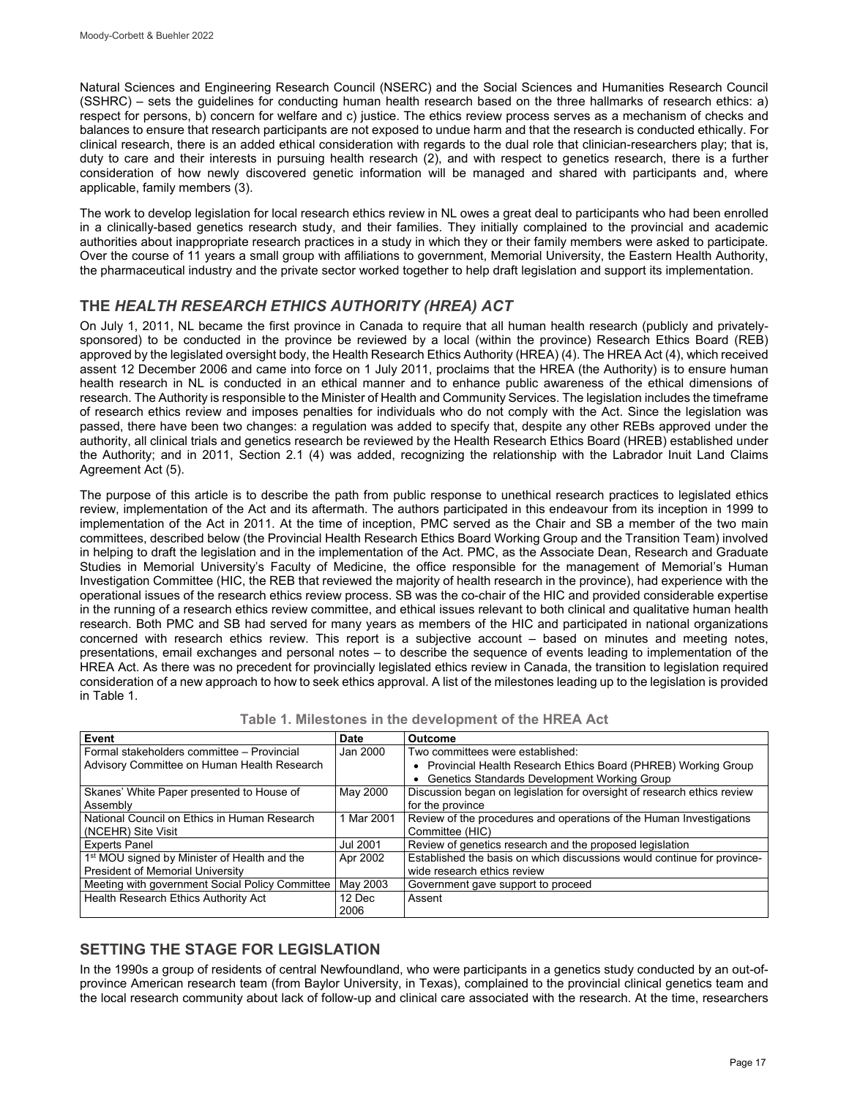Natural Sciences and Engineering Research Council (NSERC) and the Social Sciences and Humanities Research Council (SSHRC) – sets the guidelines for conducting human health research based on the three hallmarks of research ethics: a) respect for persons, b) concern for welfare and c) justice. The ethics review process serves as a mechanism of checks and balances to ensure that research participants are not exposed to undue harm and that the research is conducted ethically. For clinical research, there is an added ethical consideration with regards to the dual role that clinician-researchers play; that is, duty to care and their interests in pursuing health research (2), and with respect to genetics research, there is a further consideration of how newly discovered genetic information will be managed and shared with participants and, where applicable, family members (3).

The work to develop legislation for local research ethics review in NL owes a great deal to participants who had been enrolled in a clinically-based genetics research study, and their families. They initially complained to the provincial and academic authorities about inappropriate research practices in a study in which they or their family members were asked to participate. Over the course of 11 years a small group with affiliations to government, Memorial University, the Eastern Health Authority, the pharmaceutical industry and the private sector worked together to help draft legislation and support its implementation.

## **THE** *HEALTH RESEARCH ETHICS AUTHORITY (HREA) ACT*

On July 1, 2011, NL became the first province in Canada to require that all human health research (publicly and privatelysponsored) to be conducted in the province be reviewed by a local (within the province) Research Ethics Board (REB) approved by the legislated oversight body, the Health Research Ethics Authority (HREA) (4). The HREA Act (4), which received assent 12 December 2006 and came into force on 1 July 2011, proclaims that the HREA (the Authority) is to ensure human health research in NL is conducted in an ethical manner and to enhance public awareness of the ethical dimensions of research. The Authority is responsible to the Minister of Health and Community Services. The legislation includes the timeframe of research ethics review and imposes penalties for individuals who do not comply with the Act. Since the legislation was passed, there have been two changes: a regulation was added to specify that, despite any other REBs approved under the authority, all clinical trials and genetics research be reviewed by the Health Research Ethics Board (HREB) established under the Authority; and in 2011, Section 2.1 (4) was added, recognizing the relationship with the Labrador Inuit Land Claims Agreement Act (5).

The purpose of this article is to describe the path from public response to unethical research practices to legislated ethics review, implementation of the Act and its aftermath. The authors participated in this endeavour from its inception in 1999 to implementation of the Act in 2011. At the time of inception, PMC served as the Chair and SB a member of the two main committees, described below (the Provincial Health Research Ethics Board Working Group and the Transition Team) involved in helping to draft the legislation and in the implementation of the Act. PMC, as the Associate Dean, Research and Graduate Studies in Memorial University's Faculty of Medicine, the office responsible for the management of Memorial's Human Investigation Committee (HIC, the REB that reviewed the majority of health research in the province), had experience with the operational issues of the research ethics review process. SB was the co-chair of the HIC and provided considerable expertise in the running of a research ethics review committee, and ethical issues relevant to both clinical and qualitative human health research. Both PMC and SB had served for many years as members of the HIC and participated in national organizations concerned with research ethics review. This report is a subjective account – based on minutes and meeting notes, presentations, email exchanges and personal notes – to describe the sequence of events leading to implementation of the HREA Act. As there was no precedent for provincially legislated ethics review in Canada, the transition to legislation required consideration of a new approach to how to seek ethics approval. A list of the milestones leading up to the legislation is provided in Table 1.

| Event                                                    | Date     | <b>Outcome</b>                                                          |
|----------------------------------------------------------|----------|-------------------------------------------------------------------------|
| Formal stakeholders committee - Provincial               | Jan 2000 | Two committees were established:                                        |
| Advisory Committee on Human Health Research              |          | • Provincial Health Research Ethics Board (PHREB) Working Group         |
|                                                          |          | Genetics Standards Development Working Group                            |
| Skanes' White Paper presented to House of                | May 2000 | Discussion began on legislation for oversight of research ethics review |
| Assembly                                                 |          | for the province                                                        |
| National Council on Ethics in Human Research             | Mar 2001 | Review of the procedures and operations of the Human Investigations     |
| (NCEHR) Site Visit                                       |          | Committee (HIC)                                                         |
| <b>Experts Panel</b>                                     | Jul 2001 | Review of genetics research and the proposed legislation                |
| 1 <sup>st</sup> MOU signed by Minister of Health and the | Apr 2002 | Established the basis on which discussions would continue for province- |
| President of Memorial University                         |          | wide research ethics review                                             |
| Meeting with government Social Policy Committee          | May 2003 | Government gave support to proceed                                      |
| Health Research Ethics Authority Act                     | 12 Dec   | Assent                                                                  |
|                                                          | 2006     |                                                                         |

## **SETTING THE STAGE FOR LEGISLATION**

In the 1990s a group of residents of central Newfoundland, who were participants in a genetics study conducted by an out-ofprovince American research team (from Baylor University, in Texas), complained to the provincial clinical genetics team and the local research community about lack of follow-up and clinical care associated with the research. At the time, researchers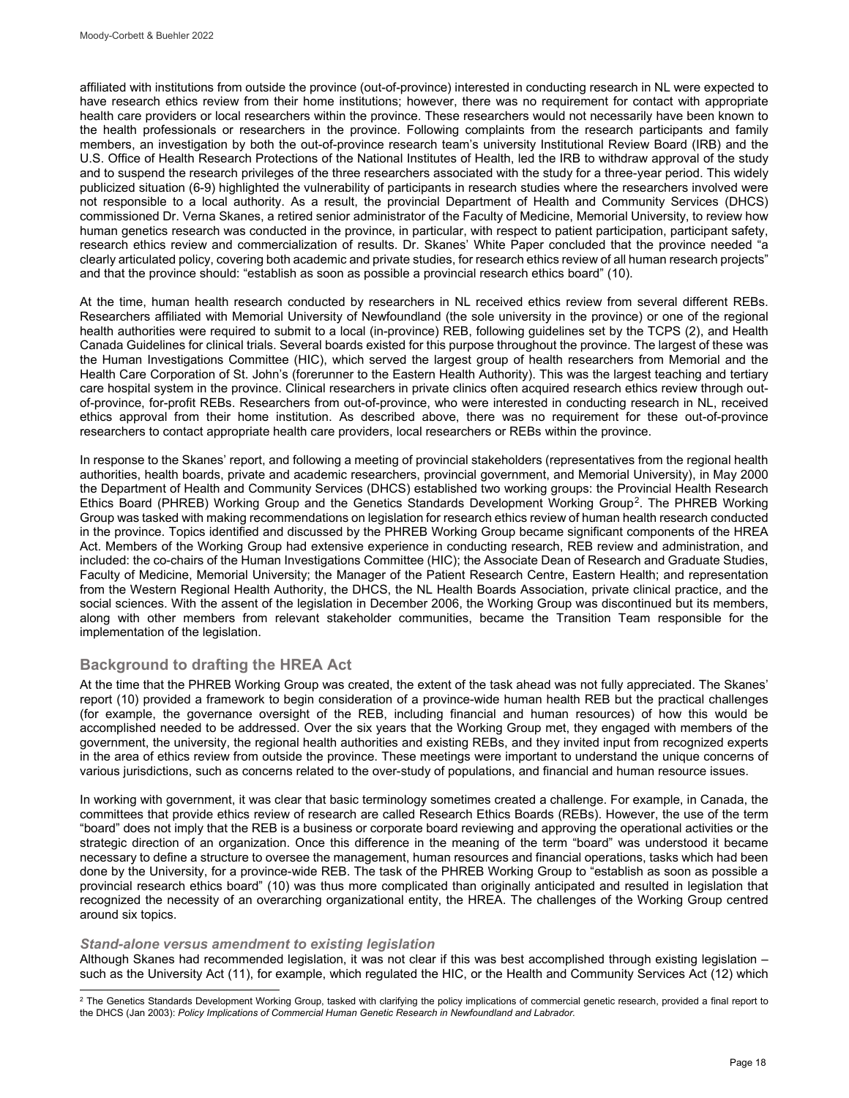affiliated with institutions from outside the province (out-of-province) interested in conducting research in NL were expected to have research ethics review from their home institutions; however, there was no requirement for contact with appropriate health care providers or local researchers within the province. These researchers would not necessarily have been known to the health professionals or researchers in the province. Following complaints from the research participants and family members, an investigation by both the out-of-province research team's university Institutional Review Board (IRB) and the U.S. Office of Health Research Protections of the National Institutes of Health, led the IRB to withdraw approval of the study and to suspend the research privileges of the three researchers associated with the study for a three-year period. This widely publicized situation (6-9) highlighted the vulnerability of participants in research studies where the researchers involved were not responsible to a local authority. As a result, the provincial Department of Health and Community Services (DHCS) commissioned Dr. Verna Skanes, a retired senior administrator of the Faculty of Medicine, Memorial University, to review how human genetics research was conducted in the province, in particular, with respect to patient participation, participant safety, research ethics review and commercialization of results. Dr. Skanes' White Paper concluded that the province needed "a clearly articulated policy, covering both academic and private studies, for research ethics review of all human research projects" and that the province should: "establish as soon as possible a provincial research ethics board" (10).

At the time, human health research conducted by researchers in NL received ethics review from several different REBs. Researchers affiliated with Memorial University of Newfoundland (the sole university in the province) or one of the regional health authorities were required to submit to a local (in-province) REB, following guidelines set by the TCPS (2), and Health Canada Guidelines for clinical trials. Several boards existed for this purpose throughout the province. The largest of these was the Human Investigations Committee (HIC), which served the largest group of health researchers from Memorial and the Health Care Corporation of St. John's (forerunner to the Eastern Health Authority). This was the largest teaching and tertiary care hospital system in the province. Clinical researchers in private clinics often acquired research ethics review through outof-province, for-profit REBs. Researchers from out-of-province, who were interested in conducting research in NL, received ethics approval from their home institution. As described above, there was no requirement for these out-of-province researchers to contact appropriate health care providers, local researchers or REBs within the province.

In response to the Skanes' report, and following a meeting of provincial stakeholders (representatives from the regional health authorities, health boards, private and academic researchers, provincial government, and Memorial University), in May 2000 the Department of Health and Community Services (DHCS) established two working groups: the Provincial Health Research Ethics Board (PHREB) Working Group and the Genetics Standards Development Working Group[2](#page-3-0). The PHREB Working Group was tasked with making recommendations on legislation for research ethics review of human health research conducted in the province. Topics identified and discussed by the PHREB Working Group became significant components of the HREA Act. Members of the Working Group had extensive experience in conducting research, REB review and administration, and included: the co-chairs of the Human Investigations Committee (HIC); the Associate Dean of Research and Graduate Studies, Faculty of Medicine, Memorial University; the Manager of the Patient Research Centre, Eastern Health; and representation from the Western Regional Health Authority, the DHCS, the NL Health Boards Association, private clinical practice, and the social sciences. With the assent of the legislation in December 2006, the Working Group was discontinued but its members, along with other members from relevant stakeholder communities, became the Transition Team responsible for the implementation of the legislation.

## **Background to drafting the HREA Act**

At the time that the PHREB Working Group was created, the extent of the task ahead was not fully appreciated. The Skanes' report (10) provided a framework to begin consideration of a province-wide human health REB but the practical challenges (for example, the governance oversight of the REB, including financial and human resources) of how this would be accomplished needed to be addressed. Over the six years that the Working Group met, they engaged with members of the government, the university, the regional health authorities and existing REBs, and they invited input from recognized experts in the area of ethics review from outside the province. These meetings were important to understand the unique concerns of various jurisdictions, such as concerns related to the over-study of populations, and financial and human resource issues.

In working with government, it was clear that basic terminology sometimes created a challenge. For example, in Canada, the committees that provide ethics review of research are called Research Ethics Boards (REBs). However, the use of the term "board" does not imply that the REB is a business or corporate board reviewing and approving the operational activities or the strategic direction of an organization. Once this difference in the meaning of the term "board" was understood it became necessary to define a structure to oversee the management, human resources and financial operations, tasks which had been done by the University, for a province-wide REB. The task of the PHREB Working Group to "establish as soon as possible a provincial research ethics board" (10) was thus more complicated than originally anticipated and resulted in legislation that recognized the necessity of an overarching organizational entity, the HREA. The challenges of the Working Group centred around six topics.

#### *Stand-alone versus amendment to existing legislation*

Although Skanes had recommended legislation, it was not clear if this was best accomplished through existing legislation – such as the University Act (11), for example, which regulated the HIC, or the Health and Community Services Act (12) which

<span id="page-3-0"></span>l  $^2$  The Genetics Standards Development Working Group, tasked with clarifying the policy implications of commercial genetic research, provided a final report to the DHCS (Jan 2003): *Policy Implications of Commercial Human Genetic Research in Newfoundland and Labrador.*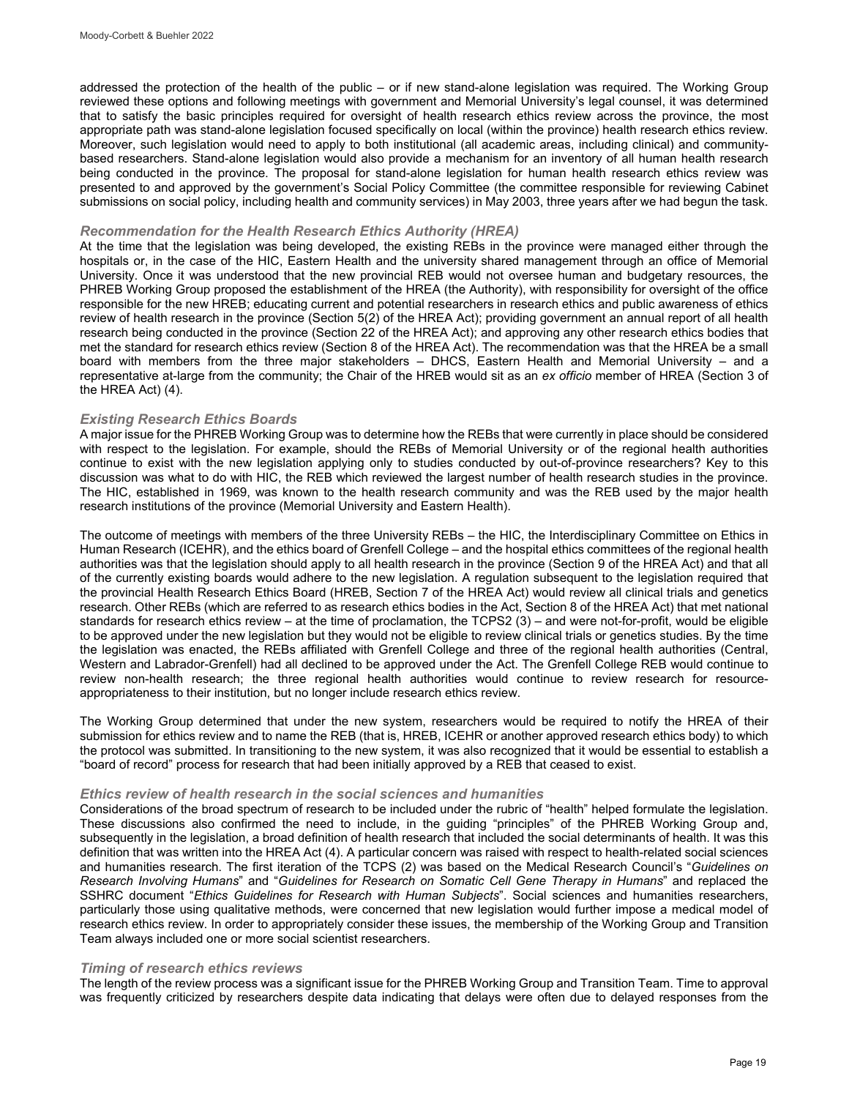addressed the protection of the health of the public – or if new stand-alone legislation was required. The Working Group reviewed these options and following meetings with government and Memorial University's legal counsel, it was determined that to satisfy the basic principles required for oversight of health research ethics review across the province, the most appropriate path was stand-alone legislation focused specifically on local (within the province) health research ethics review. Moreover, such legislation would need to apply to both institutional (all academic areas, including clinical) and communitybased researchers. Stand-alone legislation would also provide a mechanism for an inventory of all human health research being conducted in the province. The proposal for stand-alone legislation for human health research ethics review was presented to and approved by the government's Social Policy Committee (the committee responsible for reviewing Cabinet submissions on social policy, including health and community services) in May 2003, three years after we had begun the task.

#### *Recommendation for the Health Research Ethics Authority (HREA)*

At the time that the legislation was being developed, the existing REBs in the province were managed either through the hospitals or, in the case of the HIC, Eastern Health and the university shared management through an office of Memorial University. Once it was understood that the new provincial REB would not oversee human and budgetary resources, the PHREB Working Group proposed the establishment of the HREA (the Authority), with responsibility for oversight of the office responsible for the new HREB; educating current and potential researchers in research ethics and public awareness of ethics review of health research in the province (Section 5(2) of the HREA Act); providing government an annual report of all health research being conducted in the province (Section 22 of the HREA Act); and approving any other research ethics bodies that met the standard for research ethics review (Section 8 of the HREA Act). The recommendation was that the HREA be a small board with members from the three major stakeholders – DHCS, Eastern Health and Memorial University – and a representative at-large from the community; the Chair of the HREB would sit as an *ex officio* member of HREA (Section 3 of the HREA Act) (4).

#### *Existing Research Ethics Boards*

A major issue for the PHREB Working Group was to determine how the REBs that were currently in place should be considered with respect to the legislation. For example, should the REBs of Memorial University or of the regional health authorities continue to exist with the new legislation applying only to studies conducted by out-of-province researchers? Key to this discussion was what to do with HIC, the REB which reviewed the largest number of health research studies in the province. The HIC, established in 1969, was known to the health research community and was the REB used by the major health research institutions of the province (Memorial University and Eastern Health).

The outcome of meetings with members of the three University REBs – the HIC, the Interdisciplinary Committee on Ethics in Human Research (ICEHR), and the ethics board of Grenfell College – and the hospital ethics committees of the regional health authorities was that the legislation should apply to all health research in the province (Section 9 of the HREA Act) and that all of the currently existing boards would adhere to the new legislation. A regulation subsequent to the legislation required that the provincial Health Research Ethics Board (HREB, Section 7 of the HREA Act) would review all clinical trials and genetics research. Other REBs (which are referred to as research ethics bodies in the Act, Section 8 of the HREA Act) that met national standards for research ethics review – at the time of proclamation, the TCPS2 (3) – and were not-for-profit, would be eligible to be approved under the new legislation but they would not be eligible to review clinical trials or genetics studies. By the time the legislation was enacted, the REBs affiliated with Grenfell College and three of the regional health authorities (Central, Western and Labrador-Grenfell) had all declined to be approved under the Act. The Grenfell College REB would continue to review non-health research; the three regional health authorities would continue to review research for resourceappropriateness to their institution, but no longer include research ethics review.

The Working Group determined that under the new system, researchers would be required to notify the HREA of their submission for ethics review and to name the REB (that is, HREB, ICEHR or another approved research ethics body) to which the protocol was submitted. In transitioning to the new system, it was also recognized that it would be essential to establish a "board of record" process for research that had been initially approved by a REB that ceased to exist.

#### *Ethics review of health research in the social sciences and humanities*

Considerations of the broad spectrum of research to be included under the rubric of "health" helped formulate the legislation. These discussions also confirmed the need to include, in the guiding "principles" of the PHREB Working Group and, subsequently in the legislation, a broad definition of health research that included the social determinants of health. It was this definition that was written into the HREA Act (4). A particular concern was raised with respect to health-related social sciences and humanities research. The first iteration of the TCPS (2) was based on the Medical Research Council's "*Guidelines on Research Involving Humans*" and "*Guidelines for Research on Somatic Cell Gene Therapy in Humans*" and replaced the SSHRC document "*Ethics Guidelines for Research with Human Subjects*". Social sciences and humanities researchers, particularly those using qualitative methods, were concerned that new legislation would further impose a medical model of research ethics review. In order to appropriately consider these issues, the membership of the Working Group and Transition Team always included one or more social scientist researchers.

#### *Timing of research ethics reviews*

The length of the review process was a significant issue for the PHREB Working Group and Transition Team. Time to approval was frequently criticized by researchers despite data indicating that delays were often due to delayed responses from the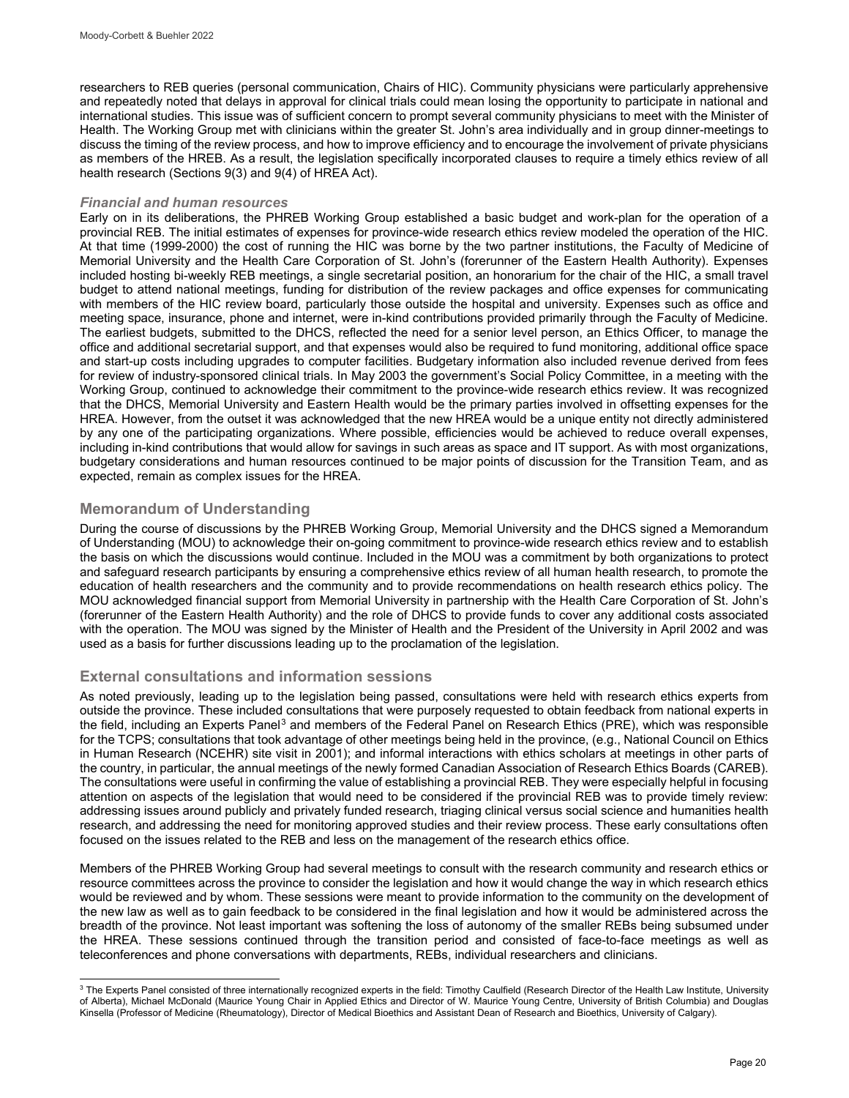researchers to REB queries (personal communication, Chairs of HIC). Community physicians were particularly apprehensive and repeatedly noted that delays in approval for clinical trials could mean losing the opportunity to participate in national and international studies. This issue was of sufficient concern to prompt several community physicians to meet with the Minister of Health. The Working Group met with clinicians within the greater St. John's area individually and in group dinner-meetings to discuss the timing of the review process, and how to improve efficiency and to encourage the involvement of private physicians as members of the HREB. As a result, the legislation specifically incorporated clauses to require a timely ethics review of all health research (Sections 9(3) and 9(4) of HREA Act).

### *Financial and human resources*

Early on in its deliberations, the PHREB Working Group established a basic budget and work-plan for the operation of a provincial REB. The initial estimates of expenses for province-wide research ethics review modeled the operation of the HIC. At that time (1999-2000) the cost of running the HIC was borne by the two partner institutions, the Faculty of Medicine of Memorial University and the Health Care Corporation of St. John's (forerunner of the Eastern Health Authority). Expenses included hosting bi-weekly REB meetings, a single secretarial position, an honorarium for the chair of the HIC, a small travel budget to attend national meetings, funding for distribution of the review packages and office expenses for communicating with members of the HIC review board, particularly those outside the hospital and university. Expenses such as office and meeting space, insurance, phone and internet, were in-kind contributions provided primarily through the Faculty of Medicine. The earliest budgets, submitted to the DHCS, reflected the need for a senior level person, an Ethics Officer, to manage the office and additional secretarial support, and that expenses would also be required to fund monitoring, additional office space and start-up costs including upgrades to computer facilities. Budgetary information also included revenue derived from fees for review of industry-sponsored clinical trials. In May 2003 the government's Social Policy Committee, in a meeting with the Working Group, continued to acknowledge their commitment to the province-wide research ethics review. It was recognized that the DHCS, Memorial University and Eastern Health would be the primary parties involved in offsetting expenses for the HREA. However, from the outset it was acknowledged that the new HREA would be a unique entity not directly administered by any one of the participating organizations. Where possible, efficiencies would be achieved to reduce overall expenses, including in-kind contributions that would allow for savings in such areas as space and IT support. As with most organizations, budgetary considerations and human resources continued to be major points of discussion for the Transition Team, and as expected, remain as complex issues for the HREA.

## **Memorandum of Understanding**

During the course of discussions by the PHREB Working Group, Memorial University and the DHCS signed a Memorandum of Understanding (MOU) to acknowledge their on-going commitment to province-wide research ethics review and to establish the basis on which the discussions would continue. Included in the MOU was a commitment by both organizations to protect and safeguard research participants by ensuring a comprehensive ethics review of all human health research, to promote the education of health researchers and the community and to provide recommendations on health research ethics policy. The MOU acknowledged financial support from Memorial University in partnership with the Health Care Corporation of St. John's (forerunner of the Eastern Health Authority) and the role of DHCS to provide funds to cover any additional costs associated with the operation. The MOU was signed by the Minister of Health and the President of the University in April 2002 and was used as a basis for further discussions leading up to the proclamation of the legislation.

## **External consultations and information sessions**

As noted previously, leading up to the legislation being passed, consultations were held with research ethics experts from outside the province. These included consultations that were purposely requested to obtain feedback from national experts in the field, including an Experts Panel<sup>[3](#page-5-0)</sup> and members of the Federal Panel on Research Ethics (PRE), which was responsible for the TCPS; consultations that took advantage of other meetings being held in the province, (e.g., National Council on Ethics in Human Research (NCEHR) site visit in 2001); and informal interactions with ethics scholars at meetings in other parts of the country, in particular, the annual meetings of the newly formed Canadian Association of Research Ethics Boards (CAREB). The consultations were useful in confirming the value of establishing a provincial REB. They were especially helpful in focusing attention on aspects of the legislation that would need to be considered if the provincial REB was to provide timely review: addressing issues around publicly and privately funded research, triaging clinical versus social science and humanities health research, and addressing the need for monitoring approved studies and their review process. These early consultations often focused on the issues related to the REB and less on the management of the research ethics office.

Members of the PHREB Working Group had several meetings to consult with the research community and research ethics or resource committees across the province to consider the legislation and how it would change the way in which research ethics would be reviewed and by whom. These sessions were meant to provide information to the community on the development of the new law as well as to gain feedback to be considered in the final legislation and how it would be administered across the breadth of the province. Not least important was softening the loss of autonomy of the smaller REBs being subsumed under the HREA. These sessions continued through the transition period and consisted of face-to-face meetings as well as teleconferences and phone conversations with departments, REBs, individual researchers and clinicians.

<span id="page-5-0"></span>j  $^3$  The Experts Panel consisted of three internationally recognized experts in the field: Timothy Caulfield (Research Director of the Health Law Institute, University of Alberta), Michael McDonald (Maurice Young Chair in Applied Ethics and Director of W. Maurice Young Centre, University of British Columbia) and Douglas Kinsella (Professor of Medicine (Rheumatology), Director of Medical Bioethics and Assistant Dean of Research and Bioethics, University of Calgary).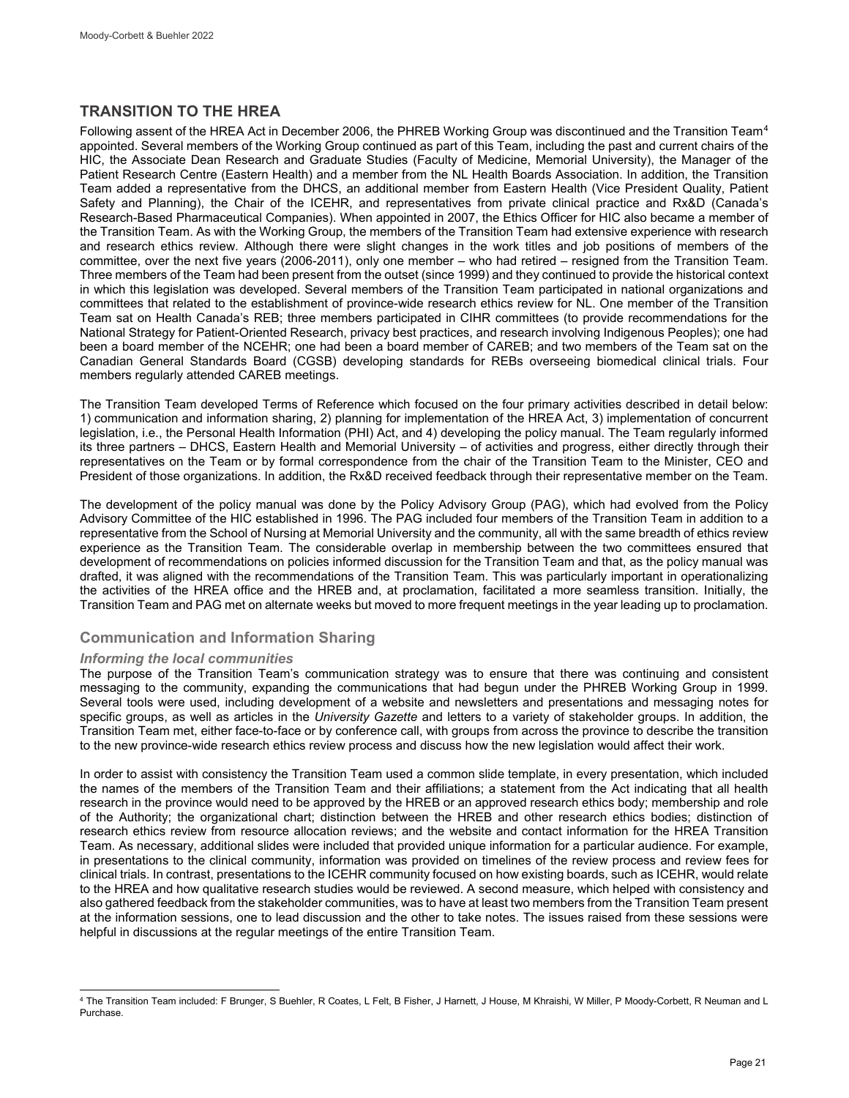## **TRANSITION TO THE HREA**

Following assent of the HREA Act in December 2006, the PHREB Working Group was discontinued and the Transition Team<sup>[4](#page-6-0)</sup> appointed. Several members of the Working Group continued as part of this Team, including the past and current chairs of the HIC, the Associate Dean Research and Graduate Studies (Faculty of Medicine, Memorial University), the Manager of the Patient Research Centre (Eastern Health) and a member from the NL Health Boards Association. In addition, the Transition Team added a representative from the DHCS, an additional member from Eastern Health (Vice President Quality, Patient Safety and Planning), the Chair of the ICEHR, and representatives from private clinical practice and Rx&D (Canada's Research-Based Pharmaceutical Companies). When appointed in 2007, the Ethics Officer for HIC also became a member of the Transition Team. As with the Working Group, the members of the Transition Team had extensive experience with research and research ethics review. Although there were slight changes in the work titles and job positions of members of the committee, over the next five years (2006-2011), only one member – who had retired – resigned from the Transition Team. Three members of the Team had been present from the outset (since 1999) and they continued to provide the historical context in which this legislation was developed. Several members of the Transition Team participated in national organizations and committees that related to the establishment of province-wide research ethics review for NL. One member of the Transition Team sat on Health Canada's REB; three members participated in CIHR committees (to provide recommendations for the National Strategy for Patient-Oriented Research, privacy best practices, and research involving Indigenous Peoples); one had been a board member of the NCEHR; one had been a board member of CAREB; and two members of the Team sat on the Canadian General Standards Board (CGSB) developing standards for REBs overseeing biomedical clinical trials. Four members regularly attended CAREB meetings.

The Transition Team developed Terms of Reference which focused on the four primary activities described in detail below: 1) communication and information sharing, 2) planning for implementation of the HREA Act, 3) implementation of concurrent legislation, i.e., the Personal Health Information (PHI) Act, and 4) developing the policy manual. The Team regularly informed its three partners – DHCS, Eastern Health and Memorial University – of activities and progress, either directly through their representatives on the Team or by formal correspondence from the chair of the Transition Team to the Minister, CEO and President of those organizations. In addition, the Rx&D received feedback through their representative member on the Team.

The development of the policy manual was done by the Policy Advisory Group (PAG), which had evolved from the Policy Advisory Committee of the HIC established in 1996. The PAG included four members of the Transition Team in addition to a representative from the School of Nursing at Memorial University and the community, all with the same breadth of ethics review experience as the Transition Team. The considerable overlap in membership between the two committees ensured that development of recommendations on policies informed discussion for the Transition Team and that, as the policy manual was drafted, it was aligned with the recommendations of the Transition Team. This was particularly important in operationalizing the activities of the HREA office and the HREB and, at proclamation, facilitated a more seamless transition. Initially, the Transition Team and PAG met on alternate weeks but moved to more frequent meetings in the year leading up to proclamation.

## **Communication and Information Sharing**

### *Informing the local communities*

The purpose of the Transition Team's communication strategy was to ensure that there was continuing and consistent messaging to the community, expanding the communications that had begun under the PHREB Working Group in 1999. Several tools were used, including development of a website and newsletters and presentations and messaging notes for specific groups, as well as articles in the *University Gazette* and letters to a variety of stakeholder groups. In addition, the Transition Team met, either face-to-face or by conference call, with groups from across the province to describe the transition to the new province-wide research ethics review process and discuss how the new legislation would affect their work.

In order to assist with consistency the Transition Team used a common slide template, in every presentation, which included the names of the members of the Transition Team and their affiliations; a statement from the Act indicating that all health research in the province would need to be approved by the HREB or an approved research ethics body; membership and role of the Authority; the organizational chart; distinction between the HREB and other research ethics bodies; distinction of research ethics review from resource allocation reviews; and the website and contact information for the HREA Transition Team. As necessary, additional slides were included that provided unique information for a particular audience. For example, in presentations to the clinical community, information was provided on timelines of the review process and review fees for clinical trials. In contrast, presentations to the ICEHR community focused on how existing boards, such as ICEHR, would relate to the HREA and how qualitative research studies would be reviewed. A second measure, which helped with consistency and also gathered feedback from the stakeholder communities, was to have at least two members from the Transition Team present at the information sessions, one to lead discussion and the other to take notes. The issues raised from these sessions were helpful in discussions at the regular meetings of the entire Transition Team.

<span id="page-6-0"></span>l <sup>4</sup> The Transition Team included: F Brunger, S Buehler, R Coates, L Felt, B Fisher, J Harnett, J House, M Khraishi, W Miller, P Moody-Corbett, R Neuman and L Purchase.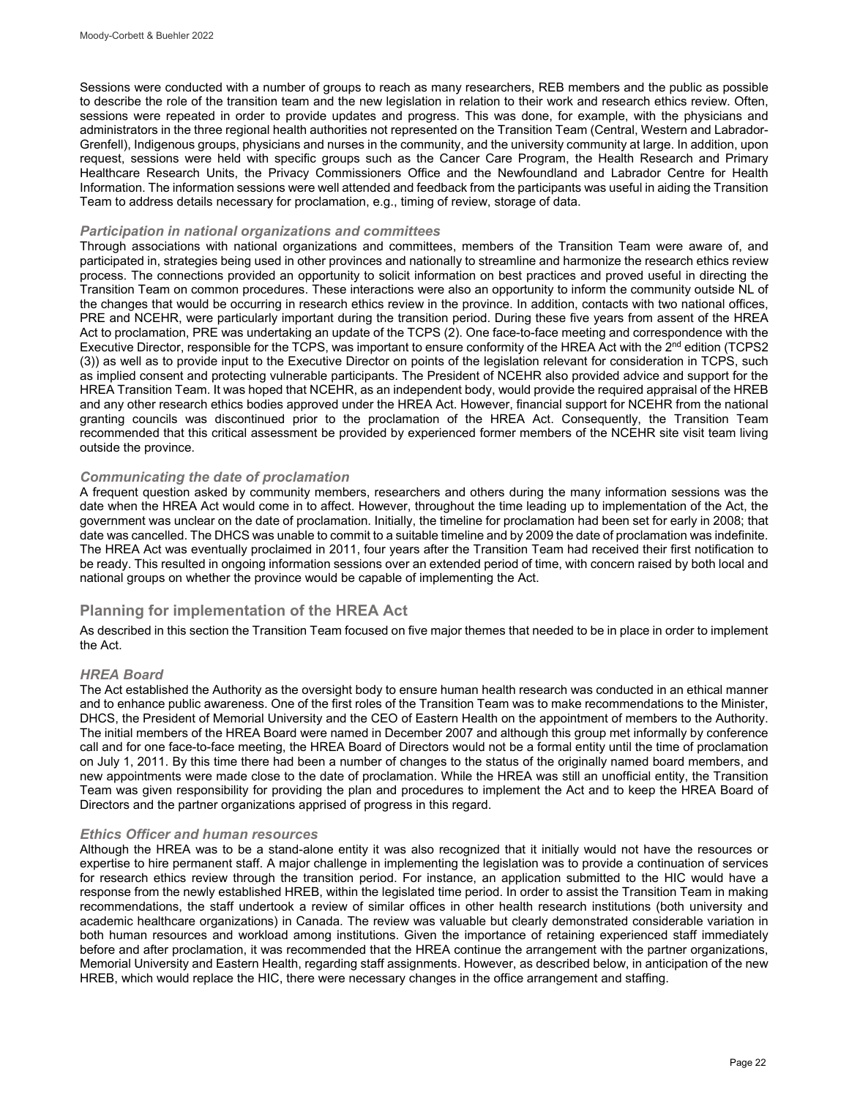Sessions were conducted with a number of groups to reach as many researchers, REB members and the public as possible to describe the role of the transition team and the new legislation in relation to their work and research ethics review. Often, sessions were repeated in order to provide updates and progress. This was done, for example, with the physicians and administrators in the three regional health authorities not represented on the Transition Team (Central, Western and Labrador-Grenfell), Indigenous groups, physicians and nurses in the community, and the university community at large. In addition, upon request, sessions were held with specific groups such as the Cancer Care Program, the Health Research and Primary Healthcare Research Units, the Privacy Commissioners Office and the Newfoundland and Labrador Centre for Health Information. The information sessions were well attended and feedback from the participants was useful in aiding the Transition Team to address details necessary for proclamation, e.g., timing of review, storage of data.

### *Participation in national organizations and committees*

Through associations with national organizations and committees, members of the Transition Team were aware of, and participated in, strategies being used in other provinces and nationally to streamline and harmonize the research ethics review process. The connections provided an opportunity to solicit information on best practices and proved useful in directing the Transition Team on common procedures. These interactions were also an opportunity to inform the community outside NL of the changes that would be occurring in research ethics review in the province. In addition, contacts with two national offices, PRE and NCEHR, were particularly important during the transition period. During these five years from assent of the HREA Act to proclamation, PRE was undertaking an update of the TCPS (2). One face-to-face meeting and correspondence with the Executive Director, responsible for the TCPS, was important to ensure conformity of the HREA Act with the 2<sup>nd</sup> edition (TCPS2 (3)) as well as to provide input to the Executive Director on points of the legislation relevant for consideration in TCPS, such as implied consent and protecting vulnerable participants. The President of NCEHR also provided advice and support for the HREA Transition Team. It was hoped that NCEHR, as an independent body, would provide the required appraisal of the HREB and any other research ethics bodies approved under the HREA Act. However, financial support for NCEHR from the national granting councils was discontinued prior to the proclamation of the HREA Act. Consequently, the Transition Team recommended that this critical assessment be provided by experienced former members of the NCEHR site visit team living outside the province.

### *Communicating the date of proclamation*

A frequent question asked by community members, researchers and others during the many information sessions was the date when the HREA Act would come in to affect. However, throughout the time leading up to implementation of the Act, the government was unclear on the date of proclamation. Initially, the timeline for proclamation had been set for early in 2008; that date was cancelled. The DHCS was unable to commit to a suitable timeline and by 2009 the date of proclamation was indefinite. The HREA Act was eventually proclaimed in 2011, four years after the Transition Team had received their first notification to be ready. This resulted in ongoing information sessions over an extended period of time, with concern raised by both local and national groups on whether the province would be capable of implementing the Act.

## **Planning for implementation of the HREA Act**

As described in this section the Transition Team focused on five major themes that needed to be in place in order to implement the Act.

### *HREA Board*

The Act established the Authority as the oversight body to ensure human health research was conducted in an ethical manner and to enhance public awareness. One of the first roles of the Transition Team was to make recommendations to the Minister, DHCS, the President of Memorial University and the CEO of Eastern Health on the appointment of members to the Authority. The initial members of the HREA Board were named in December 2007 and although this group met informally by conference call and for one face-to-face meeting, the HREA Board of Directors would not be a formal entity until the time of proclamation on July 1, 2011. By this time there had been a number of changes to the status of the originally named board members, and new appointments were made close to the date of proclamation. While the HREA was still an unofficial entity, the Transition Team was given responsibility for providing the plan and procedures to implement the Act and to keep the HREA Board of Directors and the partner organizations apprised of progress in this regard.

#### *Ethics Officer and human resources*

Although the HREA was to be a stand-alone entity it was also recognized that it initially would not have the resources or expertise to hire permanent staff. A major challenge in implementing the legislation was to provide a continuation of services for research ethics review through the transition period. For instance, an application submitted to the HIC would have a response from the newly established HREB, within the legislated time period. In order to assist the Transition Team in making recommendations, the staff undertook a review of similar offices in other health research institutions (both university and academic healthcare organizations) in Canada. The review was valuable but clearly demonstrated considerable variation in both human resources and workload among institutions. Given the importance of retaining experienced staff immediately before and after proclamation, it was recommended that the HREA continue the arrangement with the partner organizations, Memorial University and Eastern Health, regarding staff assignments. However, as described below, in anticipation of the new HREB, which would replace the HIC, there were necessary changes in the office arrangement and staffing.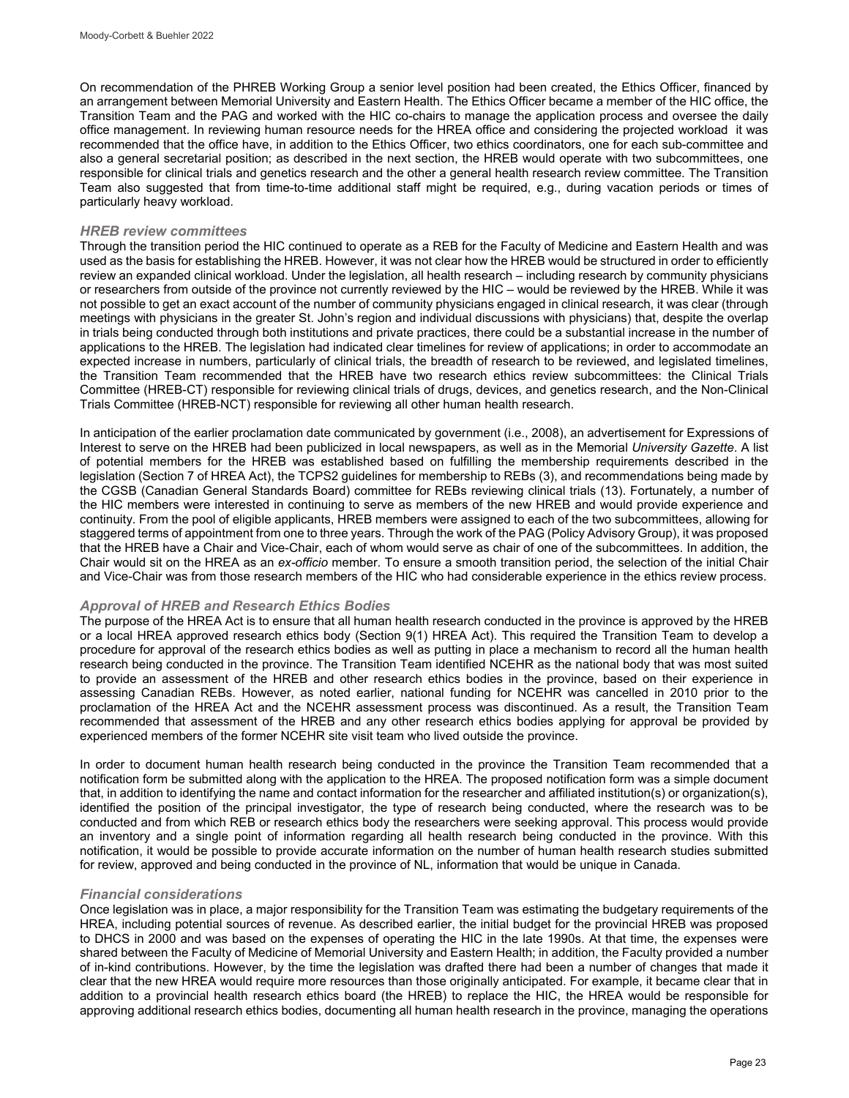On recommendation of the PHREB Working Group a senior level position had been created, the Ethics Officer, financed by an arrangement between Memorial University and Eastern Health. The Ethics Officer became a member of the HIC office, the Transition Team and the PAG and worked with the HIC co-chairs to manage the application process and oversee the daily office management. In reviewing human resource needs for the HREA office and considering the projected workload it was recommended that the office have, in addition to the Ethics Officer, two ethics coordinators, one for each sub-committee and also a general secretarial position; as described in the next section, the HREB would operate with two subcommittees, one responsible for clinical trials and genetics research and the other a general health research review committee. The Transition Team also suggested that from time-to-time additional staff might be required, e.g., during vacation periods or times of particularly heavy workload.

#### *HREB review committees*

Through the transition period the HIC continued to operate as a REB for the Faculty of Medicine and Eastern Health and was used as the basis for establishing the HREB. However, it was not clear how the HREB would be structured in order to efficiently review an expanded clinical workload. Under the legislation, all health research – including research by community physicians or researchers from outside of the province not currently reviewed by the HIC – would be reviewed by the HREB. While it was not possible to get an exact account of the number of community physicians engaged in clinical research, it was clear (through meetings with physicians in the greater St. John's region and individual discussions with physicians) that, despite the overlap in trials being conducted through both institutions and private practices, there could be a substantial increase in the number of applications to the HREB. The legislation had indicated clear timelines for review of applications; in order to accommodate an expected increase in numbers, particularly of clinical trials, the breadth of research to be reviewed, and legislated timelines, the Transition Team recommended that the HREB have two research ethics review subcommittees: the Clinical Trials Committee (HREB-CT) responsible for reviewing clinical trials of drugs, devices, and genetics research, and the Non-Clinical Trials Committee (HREB-NCT) responsible for reviewing all other human health research.

In anticipation of the earlier proclamation date communicated by government (i.e., 2008), an advertisement for Expressions of Interest to serve on the HREB had been publicized in local newspapers, as well as in the Memorial *University Gazette*. A list of potential members for the HREB was established based on fulfilling the membership requirements described in the legislation (Section 7 of HREA Act), the TCPS2 guidelines for membership to REBs (3), and recommendations being made by the CGSB (Canadian General Standards Board) committee for REBs reviewing clinical trials (13). Fortunately, a number of the HIC members were interested in continuing to serve as members of the new HREB and would provide experience and continuity. From the pool of eligible applicants, HREB members were assigned to each of the two subcommittees, allowing for staggered terms of appointment from one to three years. Through the work of the PAG (Policy Advisory Group), it was proposed that the HREB have a Chair and Vice-Chair, each of whom would serve as chair of one of the subcommittees. In addition, the Chair would sit on the HREA as an *ex-officio* member. To ensure a smooth transition period, the selection of the initial Chair and Vice-Chair was from those research members of the HIC who had considerable experience in the ethics review process.

### *Approval of HREB and Research Ethics Bodies*

The purpose of the HREA Act is to ensure that all human health research conducted in the province is approved by the HREB or a local HREA approved research ethics body (Section 9(1) HREA Act). This required the Transition Team to develop a procedure for approval of the research ethics bodies as well as putting in place a mechanism to record all the human health research being conducted in the province. The Transition Team identified NCEHR as the national body that was most suited to provide an assessment of the HREB and other research ethics bodies in the province, based on their experience in assessing Canadian REBs. However, as noted earlier, national funding for NCEHR was cancelled in 2010 prior to the proclamation of the HREA Act and the NCEHR assessment process was discontinued. As a result, the Transition Team recommended that assessment of the HREB and any other research ethics bodies applying for approval be provided by experienced members of the former NCEHR site visit team who lived outside the province.

In order to document human health research being conducted in the province the Transition Team recommended that a notification form be submitted along with the application to the HREA. The proposed notification form was a simple document that, in addition to identifying the name and contact information for the researcher and affiliated institution(s) or organization(s), identified the position of the principal investigator, the type of research being conducted, where the research was to be conducted and from which REB or research ethics body the researchers were seeking approval. This process would provide an inventory and a single point of information regarding all health research being conducted in the province. With this notification, it would be possible to provide accurate information on the number of human health research studies submitted for review, approved and being conducted in the province of NL, information that would be unique in Canada.

### *Financial considerations*

Once legislation was in place, a major responsibility for the Transition Team was estimating the budgetary requirements of the HREA, including potential sources of revenue. As described earlier, the initial budget for the provincial HREB was proposed to DHCS in 2000 and was based on the expenses of operating the HIC in the late 1990s. At that time, the expenses were shared between the Faculty of Medicine of Memorial University and Eastern Health; in addition, the Faculty provided a number of in-kind contributions. However, by the time the legislation was drafted there had been a number of changes that made it clear that the new HREA would require more resources than those originally anticipated. For example, it became clear that in addition to a provincial health research ethics board (the HREB) to replace the HIC, the HREA would be responsible for approving additional research ethics bodies, documenting all human health research in the province, managing the operations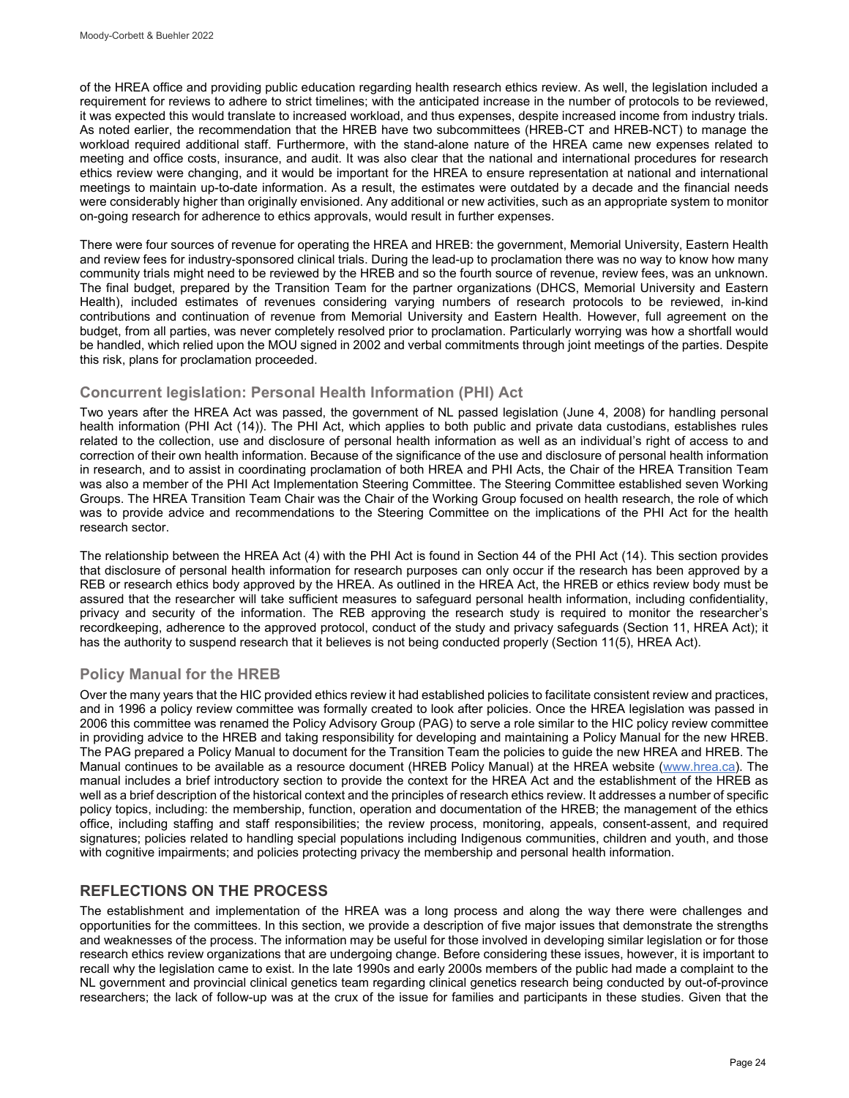of the HREA office and providing public education regarding health research ethics review. As well, the legislation included a requirement for reviews to adhere to strict timelines; with the anticipated increase in the number of protocols to be reviewed, it was expected this would translate to increased workload, and thus expenses, despite increased income from industry trials. As noted earlier, the recommendation that the HREB have two subcommittees (HREB-CT and HREB-NCT) to manage the workload required additional staff. Furthermore, with the stand-alone nature of the HREA came new expenses related to meeting and office costs, insurance, and audit. It was also clear that the national and international procedures for research ethics review were changing, and it would be important for the HREA to ensure representation at national and international meetings to maintain up-to-date information. As a result, the estimates were outdated by a decade and the financial needs were considerably higher than originally envisioned. Any additional or new activities, such as an appropriate system to monitor on-going research for adherence to ethics approvals, would result in further expenses.

There were four sources of revenue for operating the HREA and HREB: the government, Memorial University, Eastern Health and review fees for industry-sponsored clinical trials. During the lead-up to proclamation there was no way to know how many community trials might need to be reviewed by the HREB and so the fourth source of revenue, review fees, was an unknown. The final budget, prepared by the Transition Team for the partner organizations (DHCS, Memorial University and Eastern Health), included estimates of revenues considering varying numbers of research protocols to be reviewed, in-kind contributions and continuation of revenue from Memorial University and Eastern Health. However, full agreement on the budget, from all parties, was never completely resolved prior to proclamation. Particularly worrying was how a shortfall would be handled, which relied upon the MOU signed in 2002 and verbal commitments through joint meetings of the parties. Despite this risk, plans for proclamation proceeded.

## **Concurrent legislation: Personal Health Information (PHI) Act**

Two years after the HREA Act was passed, the government of NL passed legislation (June 4, 2008) for handling personal health information (PHI Act (14)). The PHI Act, which applies to both public and private data custodians, establishes rules related to the collection, use and disclosure of personal health information as well as an individual's right of access to and correction of their own health information. Because of the significance of the use and disclosure of personal health information in research, and to assist in coordinating proclamation of both HREA and PHI Acts, the Chair of the HREA Transition Team was also a member of the PHI Act Implementation Steering Committee. The Steering Committee established seven Working Groups. The HREA Transition Team Chair was the Chair of the Working Group focused on health research, the role of which was to provide advice and recommendations to the Steering Committee on the implications of the PHI Act for the health research sector.

The relationship between the HREA Act (4) with the PHI Act is found in Section 44 of the PHI Act (14). This section provides that disclosure of personal health information for research purposes can only occur if the research has been approved by a REB or research ethics body approved by the HREA. As outlined in the HREA Act, the HREB or ethics review body must be assured that the researcher will take sufficient measures to safeguard personal health information, including confidentiality, privacy and security of the information. The REB approving the research study is required to monitor the researcher's recordkeeping, adherence to the approved protocol, conduct of the study and privacy safeguards (Section 11, HREA Act); it has the authority to suspend research that it believes is not being conducted properly (Section 11(5), HREA Act).

## **Policy Manual for the HREB**

Over the many years that the HIC provided ethics review it had established policies to facilitate consistent review and practices, and in 1996 a policy review committee was formally created to look after policies. Once the HREA legislation was passed in 2006 this committee was renamed the Policy Advisory Group (PAG) to serve a role similar to the HIC policy review committee in providing advice to the HREB and taking responsibility for developing and maintaining a Policy Manual for the new HREB. The PAG prepared a Policy Manual to document for the Transition Team the policies to guide the new HREA and HREB. The Manual continues to be available as a resource document (HREB Policy Manual) at the HREA website [\(www.hrea.ca\)](http://www.hrea.ca/). The manual includes a brief introductory section to provide the context for the HREA Act and the establishment of the HREB as well as a brief description of the historical context and the principles of research ethics review. It addresses a number of specific policy topics, including: the membership, function, operation and documentation of the HREB; the management of the ethics office, including staffing and staff responsibilities; the review process, monitoring, appeals, consent-assent, and required signatures; policies related to handling special populations including Indigenous communities, children and youth, and those with cognitive impairments; and policies protecting privacy the membership and personal health information.

## **REFLECTIONS ON THE PROCESS**

The establishment and implementation of the HREA was a long process and along the way there were challenges and opportunities for the committees. In this section, we provide a description of five major issues that demonstrate the strengths and weaknesses of the process. The information may be useful for those involved in developing similar legislation or for those research ethics review organizations that are undergoing change. Before considering these issues, however, it is important to recall why the legislation came to exist. In the late 1990s and early 2000s members of the public had made a complaint to the NL government and provincial clinical genetics team regarding clinical genetics research being conducted by out-of-province researchers; the lack of follow-up was at the crux of the issue for families and participants in these studies. Given that the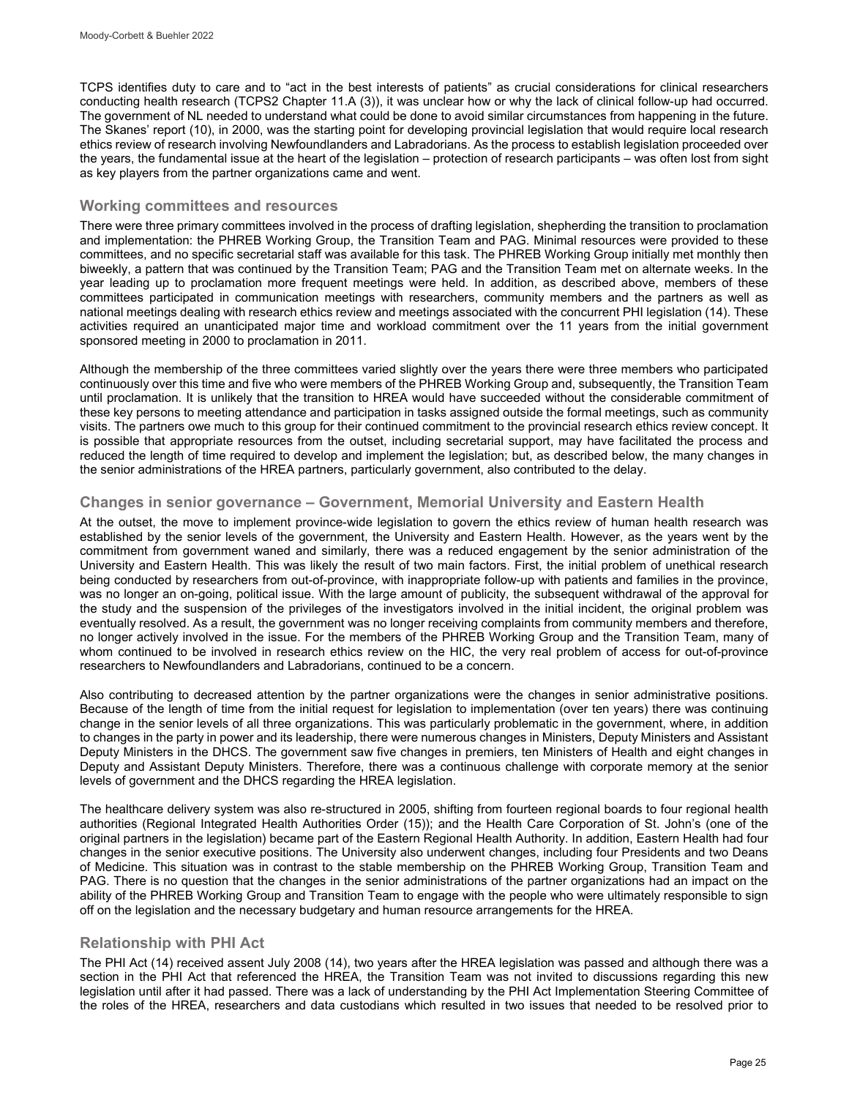TCPS identifies duty to care and to "act in the best interests of patients" as crucial considerations for clinical researchers conducting health research (TCPS2 Chapter 11.A (3)), it was unclear how or why the lack of clinical follow-up had occurred. The government of NL needed to understand what could be done to avoid similar circumstances from happening in the future. The Skanes' report (10), in 2000, was the starting point for developing provincial legislation that would require local research ethics review of research involving Newfoundlanders and Labradorians. As the process to establish legislation proceeded over the years, the fundamental issue at the heart of the legislation – protection of research participants – was often lost from sight as key players from the partner organizations came and went.

## **Working committees and resources**

There were three primary committees involved in the process of drafting legislation, shepherding the transition to proclamation and implementation: the PHREB Working Group, the Transition Team and PAG. Minimal resources were provided to these committees, and no specific secretarial staff was available for this task. The PHREB Working Group initially met monthly then biweekly, a pattern that was continued by the Transition Team; PAG and the Transition Team met on alternate weeks. In the year leading up to proclamation more frequent meetings were held. In addition, as described above, members of these committees participated in communication meetings with researchers, community members and the partners as well as national meetings dealing with research ethics review and meetings associated with the concurrent PHI legislation (14). These activities required an unanticipated major time and workload commitment over the 11 years from the initial government sponsored meeting in 2000 to proclamation in 2011.

Although the membership of the three committees varied slightly over the years there were three members who participated continuously over this time and five who were members of the PHREB Working Group and, subsequently, the Transition Team until proclamation. It is unlikely that the transition to HREA would have succeeded without the considerable commitment of these key persons to meeting attendance and participation in tasks assigned outside the formal meetings, such as community visits. The partners owe much to this group for their continued commitment to the provincial research ethics review concept. It is possible that appropriate resources from the outset, including secretarial support, may have facilitated the process and reduced the length of time required to develop and implement the legislation; but, as described below, the many changes in the senior administrations of the HREA partners, particularly government, also contributed to the delay.

## **Changes in senior governance – Government, Memorial University and Eastern Health**

At the outset, the move to implement province-wide legislation to govern the ethics review of human health research was established by the senior levels of the government, the University and Eastern Health. However, as the years went by the commitment from government waned and similarly, there was a reduced engagement by the senior administration of the University and Eastern Health. This was likely the result of two main factors. First, the initial problem of unethical research being conducted by researchers from out-of-province, with inappropriate follow-up with patients and families in the province, was no longer an on-going, political issue. With the large amount of publicity, the subsequent withdrawal of the approval for the study and the suspension of the privileges of the investigators involved in the initial incident, the original problem was eventually resolved. As a result, the government was no longer receiving complaints from community members and therefore, no longer actively involved in the issue. For the members of the PHREB Working Group and the Transition Team, many of whom continued to be involved in research ethics review on the HIC, the very real problem of access for out-of-province researchers to Newfoundlanders and Labradorians, continued to be a concern.

Also contributing to decreased attention by the partner organizations were the changes in senior administrative positions. Because of the length of time from the initial request for legislation to implementation (over ten years) there was continuing change in the senior levels of all three organizations. This was particularly problematic in the government, where, in addition to changes in the party in power and its leadership, there were numerous changes in Ministers, Deputy Ministers and Assistant Deputy Ministers in the DHCS. The government saw five changes in premiers, ten Ministers of Health and eight changes in Deputy and Assistant Deputy Ministers. Therefore, there was a continuous challenge with corporate memory at the senior levels of government and the DHCS regarding the HREA legislation.

The healthcare delivery system was also re-structured in 2005, shifting from fourteen regional boards to four regional health authorities (Regional Integrated Health Authorities Order (15)); and the Health Care Corporation of St. John's (one of the original partners in the legislation) became part of the Eastern Regional Health Authority. In addition, Eastern Health had four changes in the senior executive positions. The University also underwent changes, including four Presidents and two Deans of Medicine. This situation was in contrast to the stable membership on the PHREB Working Group, Transition Team and PAG. There is no question that the changes in the senior administrations of the partner organizations had an impact on the ability of the PHREB Working Group and Transition Team to engage with the people who were ultimately responsible to sign off on the legislation and the necessary budgetary and human resource arrangements for the HREA.

## **Relationship with PHI Act**

The PHI Act (14) received assent July 2008 (14), two years after the HREA legislation was passed and although there was a section in the PHI Act that referenced the HREA, the Transition Team was not invited to discussions regarding this new legislation until after it had passed. There was a lack of understanding by the PHI Act Implementation Steering Committee of the roles of the HREA, researchers and data custodians which resulted in two issues that needed to be resolved prior to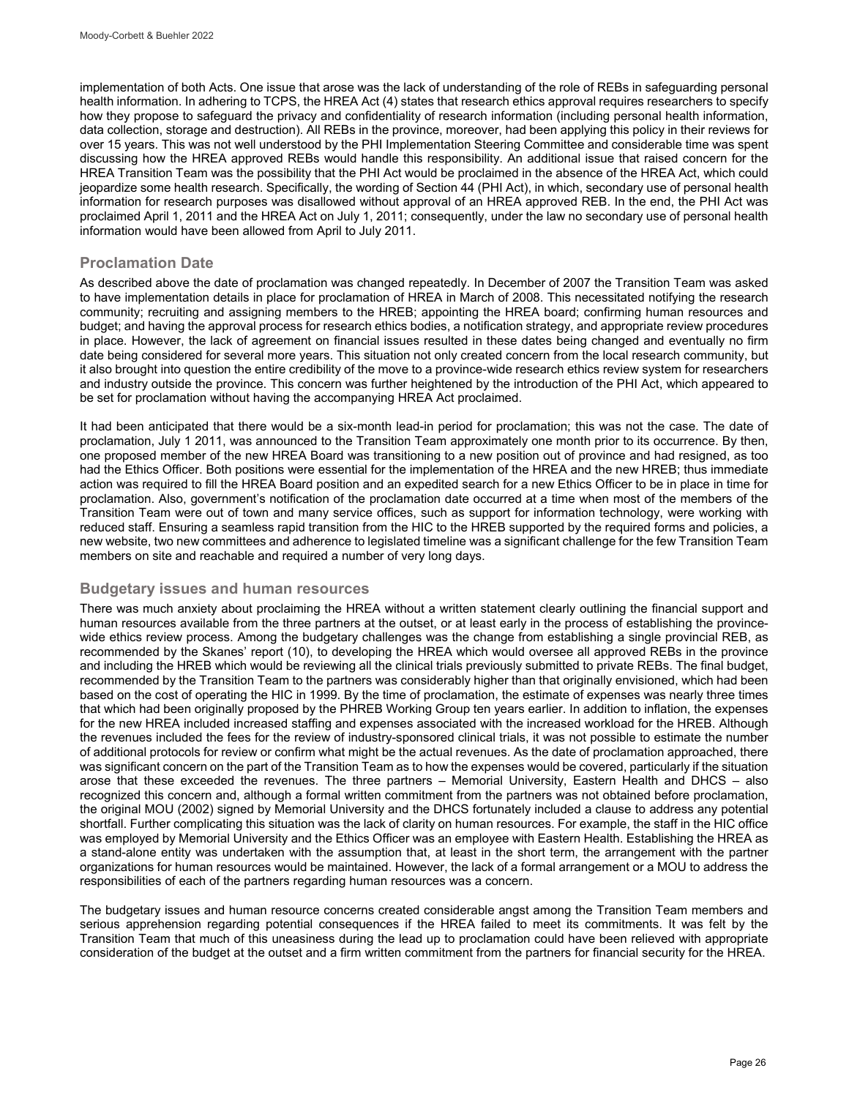implementation of both Acts. One issue that arose was the lack of understanding of the role of REBs in safeguarding personal health information. In adhering to TCPS, the HREA Act (4) states that research ethics approval requires researchers to specify how they propose to safeguard the privacy and confidentiality of research information (including personal health information, data collection, storage and destruction). All REBs in the province, moreover, had been applying this policy in their reviews for over 15 years. This was not well understood by the PHI Implementation Steering Committee and considerable time was spent discussing how the HREA approved REBs would handle this responsibility. An additional issue that raised concern for the HREA Transition Team was the possibility that the PHI Act would be proclaimed in the absence of the HREA Act, which could jeopardize some health research. Specifically, the wording of Section 44 (PHI Act), in which, secondary use of personal health information for research purposes was disallowed without approval of an HREA approved REB. In the end, the PHI Act was proclaimed April 1, 2011 and the HREA Act on July 1, 2011; consequently, under the law no secondary use of personal health information would have been allowed from April to July 2011.

## **Proclamation Date**

As described above the date of proclamation was changed repeatedly. In December of 2007 the Transition Team was asked to have implementation details in place for proclamation of HREA in March of 2008. This necessitated notifying the research community; recruiting and assigning members to the HREB; appointing the HREA board; confirming human resources and budget; and having the approval process for research ethics bodies, a notification strategy, and appropriate review procedures in place. However, the lack of agreement on financial issues resulted in these dates being changed and eventually no firm date being considered for several more years. This situation not only created concern from the local research community, but it also brought into question the entire credibility of the move to a province-wide research ethics review system for researchers and industry outside the province. This concern was further heightened by the introduction of the PHI Act, which appeared to be set for proclamation without having the accompanying HREA Act proclaimed.

It had been anticipated that there would be a six-month lead-in period for proclamation; this was not the case. The date of proclamation, July 1 2011, was announced to the Transition Team approximately one month prior to its occurrence. By then, one proposed member of the new HREA Board was transitioning to a new position out of province and had resigned, as too had the Ethics Officer. Both positions were essential for the implementation of the HREA and the new HREB; thus immediate action was required to fill the HREA Board position and an expedited search for a new Ethics Officer to be in place in time for proclamation. Also, government's notification of the proclamation date occurred at a time when most of the members of the Transition Team were out of town and many service offices, such as support for information technology, were working with reduced staff. Ensuring a seamless rapid transition from the HIC to the HREB supported by the required forms and policies, a new website, two new committees and adherence to legislated timeline was a significant challenge for the few Transition Team members on site and reachable and required a number of very long days.

## **Budgetary issues and human resources**

There was much anxiety about proclaiming the HREA without a written statement clearly outlining the financial support and human resources available from the three partners at the outset, or at least early in the process of establishing the provincewide ethics review process. Among the budgetary challenges was the change from establishing a single provincial REB, as recommended by the Skanes' report (10), to developing the HREA which would oversee all approved REBs in the province and including the HREB which would be reviewing all the clinical trials previously submitted to private REBs. The final budget, recommended by the Transition Team to the partners was considerably higher than that originally envisioned, which had been based on the cost of operating the HIC in 1999. By the time of proclamation, the estimate of expenses was nearly three times that which had been originally proposed by the PHREB Working Group ten years earlier. In addition to inflation, the expenses for the new HREA included increased staffing and expenses associated with the increased workload for the HREB. Although the revenues included the fees for the review of industry-sponsored clinical trials, it was not possible to estimate the number of additional protocols for review or confirm what might be the actual revenues. As the date of proclamation approached, there was significant concern on the part of the Transition Team as to how the expenses would be covered, particularly if the situation arose that these exceeded the revenues. The three partners – Memorial University, Eastern Health and DHCS – also recognized this concern and, although a formal written commitment from the partners was not obtained before proclamation, the original MOU (2002) signed by Memorial University and the DHCS fortunately included a clause to address any potential shortfall. Further complicating this situation was the lack of clarity on human resources. For example, the staff in the HIC office was employed by Memorial University and the Ethics Officer was an employee with Eastern Health. Establishing the HREA as a stand-alone entity was undertaken with the assumption that, at least in the short term, the arrangement with the partner organizations for human resources would be maintained. However, the lack of a formal arrangement or a MOU to address the responsibilities of each of the partners regarding human resources was a concern.

The budgetary issues and human resource concerns created considerable angst among the Transition Team members and serious apprehension regarding potential consequences if the HREA failed to meet its commitments. It was felt by the Transition Team that much of this uneasiness during the lead up to proclamation could have been relieved with appropriate consideration of the budget at the outset and a firm written commitment from the partners for financial security for the HREA.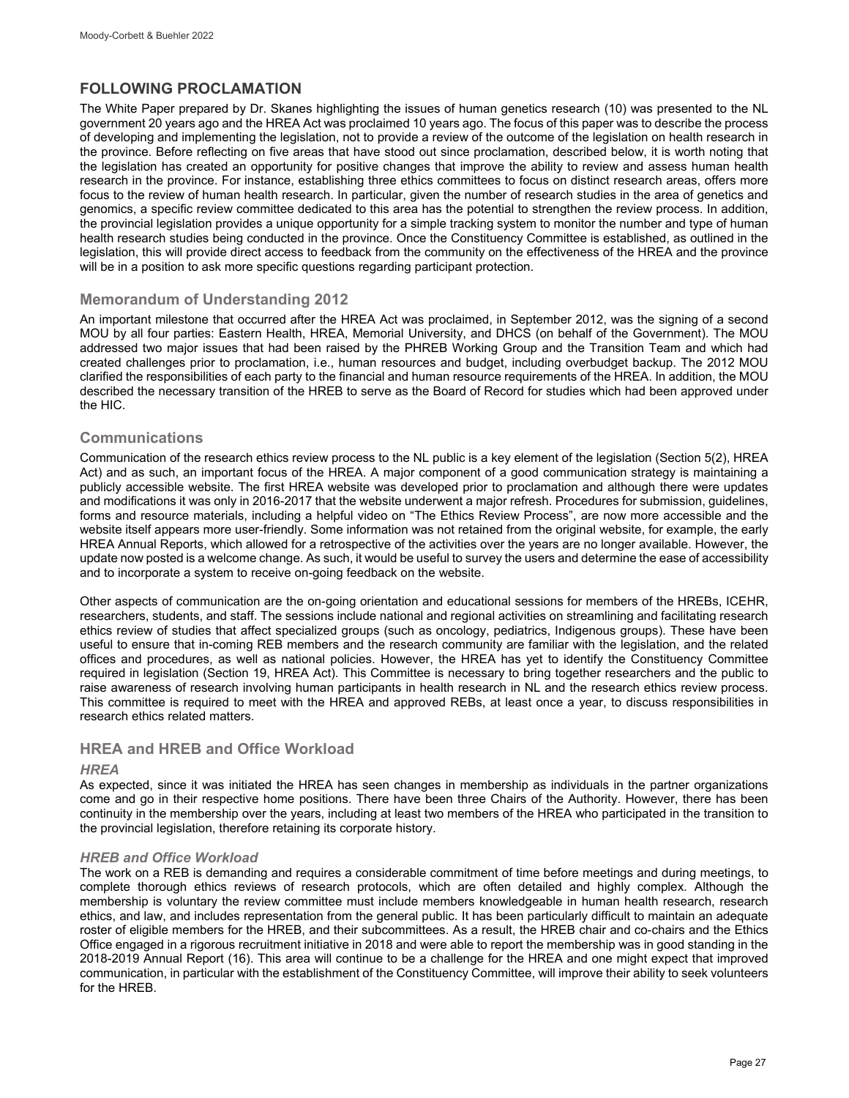## **FOLLOWING PROCLAMATION**

The White Paper prepared by Dr. Skanes highlighting the issues of human genetics research (10) was presented to the NL government 20 years ago and the HREA Act was proclaimed 10 years ago. The focus of this paper was to describe the process of developing and implementing the legislation, not to provide a review of the outcome of the legislation on health research in the province. Before reflecting on five areas that have stood out since proclamation, described below, it is worth noting that the legislation has created an opportunity for positive changes that improve the ability to review and assess human health research in the province. For instance, establishing three ethics committees to focus on distinct research areas, offers more focus to the review of human health research. In particular, given the number of research studies in the area of genetics and genomics, a specific review committee dedicated to this area has the potential to strengthen the review process. In addition, the provincial legislation provides a unique opportunity for a simple tracking system to monitor the number and type of human health research studies being conducted in the province. Once the Constituency Committee is established, as outlined in the legislation, this will provide direct access to feedback from the community on the effectiveness of the HREA and the province will be in a position to ask more specific questions regarding participant protection.

## **Memorandum of Understanding 2012**

An important milestone that occurred after the HREA Act was proclaimed, in September 2012, was the signing of a second MOU by all four parties: Eastern Health, HREA, Memorial University, and DHCS (on behalf of the Government). The MOU addressed two major issues that had been raised by the PHREB Working Group and the Transition Team and which had created challenges prior to proclamation, i.e., human resources and budget, including overbudget backup. The 2012 MOU clarified the responsibilities of each party to the financial and human resource requirements of the HREA. In addition, the MOU described the necessary transition of the HREB to serve as the Board of Record for studies which had been approved under the HIC.

## **Communications**

Communication of the research ethics review process to the NL public is a key element of the legislation (Section 5(2), HREA Act) and as such, an important focus of the HREA. A major component of a good communication strategy is maintaining a publicly accessible website. The first HREA website was developed prior to proclamation and although there were updates and modifications it was only in 2016-2017 that the website underwent a major refresh. Procedures for submission, guidelines, forms and resource materials, including a helpful video on "The Ethics Review Process", are now more accessible and the website itself appears more user-friendly. Some information was not retained from the original website, for example, the early HREA Annual Reports, which allowed for a retrospective of the activities over the years are no longer available. However, the update now posted is a welcome change. As such, it would be useful to survey the users and determine the ease of accessibility and to incorporate a system to receive on-going feedback on the website.

Other aspects of communication are the on-going orientation and educational sessions for members of the HREBs, ICEHR, researchers, students, and staff. The sessions include national and regional activities on streamlining and facilitating research ethics review of studies that affect specialized groups (such as oncology, pediatrics, Indigenous groups). These have been useful to ensure that in-coming REB members and the research community are familiar with the legislation, and the related offices and procedures, as well as national policies. However, the HREA has yet to identify the Constituency Committee required in legislation (Section 19, HREA Act). This Committee is necessary to bring together researchers and the public to raise awareness of research involving human participants in health research in NL and the research ethics review process. This committee is required to meet with the HREA and approved REBs, at least once a year, to discuss responsibilities in research ethics related matters.

## **HREA and HREB and Office Workload**

### *HREA*

As expected, since it was initiated the HREA has seen changes in membership as individuals in the partner organizations come and go in their respective home positions. There have been three Chairs of the Authority. However, there has been continuity in the membership over the years, including at least two members of the HREA who participated in the transition to the provincial legislation, therefore retaining its corporate history.

### *HREB and Office Workload*

The work on a REB is demanding and requires a considerable commitment of time before meetings and during meetings, to complete thorough ethics reviews of research protocols, which are often detailed and highly complex. Although the membership is voluntary the review committee must include members knowledgeable in human health research, research ethics, and law, and includes representation from the general public. It has been particularly difficult to maintain an adequate roster of eligible members for the HREB, and their subcommittees. As a result, the HREB chair and co-chairs and the Ethics Office engaged in a rigorous recruitment initiative in 2018 and were able to report the membership was in good standing in the 2018-2019 Annual Report (16). This area will continue to be a challenge for the HREA and one might expect that improved communication, in particular with the establishment of the Constituency Committee, will improve their ability to seek volunteers for the HREB.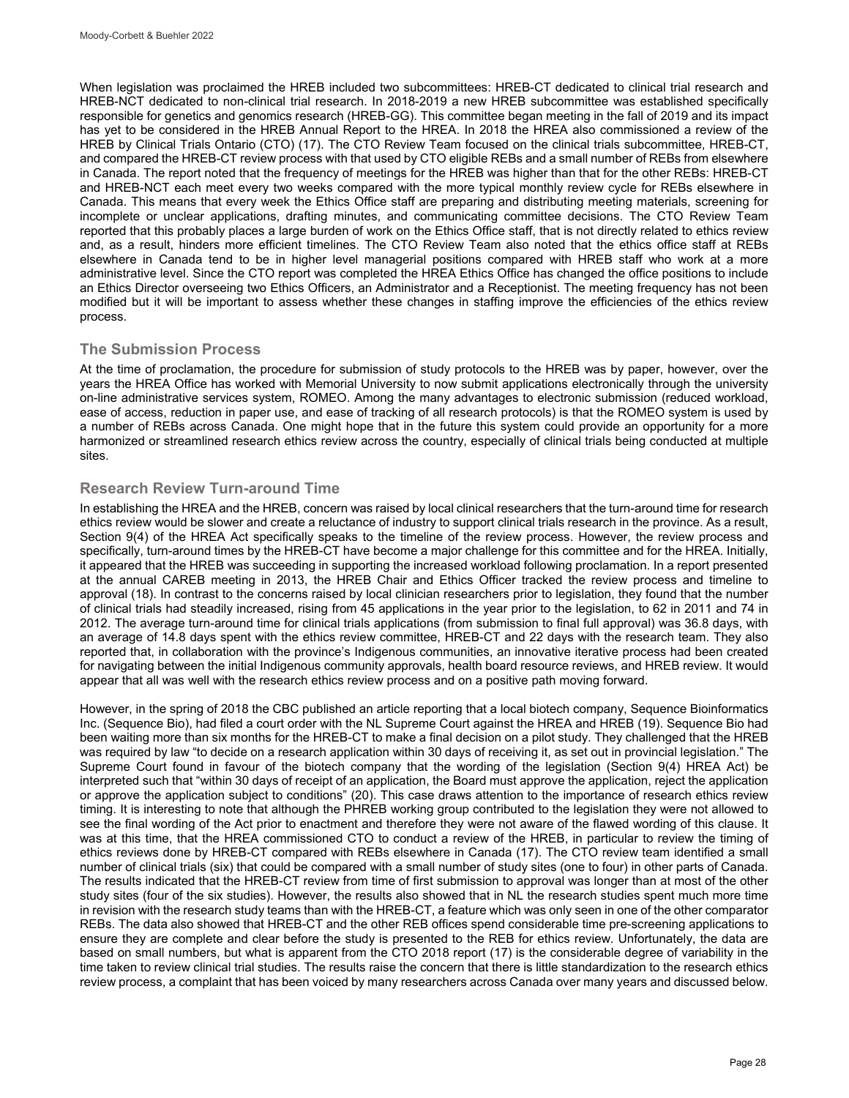When legislation was proclaimed the HREB included two subcommittees: HREB-CT dedicated to clinical trial research and HREB-NCT dedicated to non-clinical trial research. In 2018-2019 a new HREB subcommittee was established specifically responsible for genetics and genomics research (HREB-GG). This committee began meeting in the fall of 2019 and its impact has yet to be considered in the HREB Annual Report to the HREA. In 2018 the HREA also commissioned a review of the HREB by Clinical Trials Ontario (CTO) (17). The CTO Review Team focused on the clinical trials subcommittee, HREB-CT, and compared the HREB-CT review process with that used by CTO eligible REBs and a small number of REBs from elsewhere in Canada. The report noted that the frequency of meetings for the HREB was higher than that for the other REBs: HREB-CT and HREB-NCT each meet every two weeks compared with the more typical monthly review cycle for REBs elsewhere in Canada. This means that every week the Ethics Office staff are preparing and distributing meeting materials, screening for incomplete or unclear applications, drafting minutes, and communicating committee decisions. The CTO Review Team reported that this probably places a large burden of work on the Ethics Office staff, that is not directly related to ethics review and, as a result, hinders more efficient timelines. The CTO Review Team also noted that the ethics office staff at REBs elsewhere in Canada tend to be in higher level managerial positions compared with HREB staff who work at a more administrative level. Since the CTO report was completed the HREA Ethics Office has changed the office positions to include an Ethics Director overseeing two Ethics Officers, an Administrator and a Receptionist. The meeting frequency has not been modified but it will be important to assess whether these changes in staffing improve the efficiencies of the ethics review process.

## **The Submission Process**

At the time of proclamation, the procedure for submission of study protocols to the HREB was by paper, however, over the years the HREA Office has worked with Memorial University to now submit applications electronically through the university on-line administrative services system, ROMEO. Among the many advantages to electronic submission (reduced workload, ease of access, reduction in paper use, and ease of tracking of all research protocols) is that the ROMEO system is used by a number of REBs across Canada. One might hope that in the future this system could provide an opportunity for a more harmonized or streamlined research ethics review across the country, especially of clinical trials being conducted at multiple sites.

## **Research Review Turn-around Time**

In establishing the HREA and the HREB, concern was raised by local clinical researchers that the turn-around time for research ethics review would be slower and create a reluctance of industry to support clinical trials research in the province. As a result, Section 9(4) of the HREA Act specifically speaks to the timeline of the review process. However, the review process and specifically, turn-around times by the HREB-CT have become a major challenge for this committee and for the HREA. Initially, it appeared that the HREB was succeeding in supporting the increased workload following proclamation. In a report presented at the annual CAREB meeting in 2013, the HREB Chair and Ethics Officer tracked the review process and timeline to approval (18). In contrast to the concerns raised by local clinician researchers prior to legislation, they found that the number of clinical trials had steadily increased, rising from 45 applications in the year prior to the legislation, to 62 in 2011 and 74 in 2012. The average turn-around time for clinical trials applications (from submission to final full approval) was 36.8 days, with an average of 14.8 days spent with the ethics review committee, HREB-CT and 22 days with the research team. They also reported that, in collaboration with the province's Indigenous communities, an innovative iterative process had been created for navigating between the initial Indigenous community approvals, health board resource reviews, and HREB review. It would appear that all was well with the research ethics review process and on a positive path moving forward.

However, in the spring of 2018 the CBC published an article reporting that a local biotech company, Sequence Bioinformatics Inc. (Sequence Bio), had filed a court order with the NL Supreme Court against the HREA and HREB (19). Sequence Bio had been waiting more than six months for the HREB-CT to make a final decision on a pilot study. They challenged that the HREB was required by law "to decide on a research application within 30 days of receiving it, as set out in provincial legislation." The Supreme Court found in favour of the biotech company that the wording of the legislation (Section 9(4) HREA Act) be interpreted such that "within 30 days of receipt of an application, the Board must approve the application, reject the application or approve the application subject to conditions" (20). This case draws attention to the importance of research ethics review timing. It is interesting to note that although the PHREB working group contributed to the legislation they were not allowed to see the final wording of the Act prior to enactment and therefore they were not aware of the flawed wording of this clause. It was at this time, that the HREA commissioned CTO to conduct a review of the HREB, in particular to review the timing of ethics reviews done by HREB-CT compared with REBs elsewhere in Canada (17). The CTO review team identified a small number of clinical trials (six) that could be compared with a small number of study sites (one to four) in other parts of Canada. The results indicated that the HREB-CT review from time of first submission to approval was longer than at most of the other study sites (four of the six studies). However, the results also showed that in NL the research studies spent much more time in revision with the research study teams than with the HREB-CT, a feature which was only seen in one of the other comparator REBs. The data also showed that HREB-CT and the other REB offices spend considerable time pre-screening applications to ensure they are complete and clear before the study is presented to the REB for ethics review. Unfortunately, the data are based on small numbers, but what is apparent from the CTO 2018 report (17) is the considerable degree of variability in the time taken to review clinical trial studies. The results raise the concern that there is little standardization to the research ethics review process, a complaint that has been voiced by many researchers across Canada over many years and discussed below.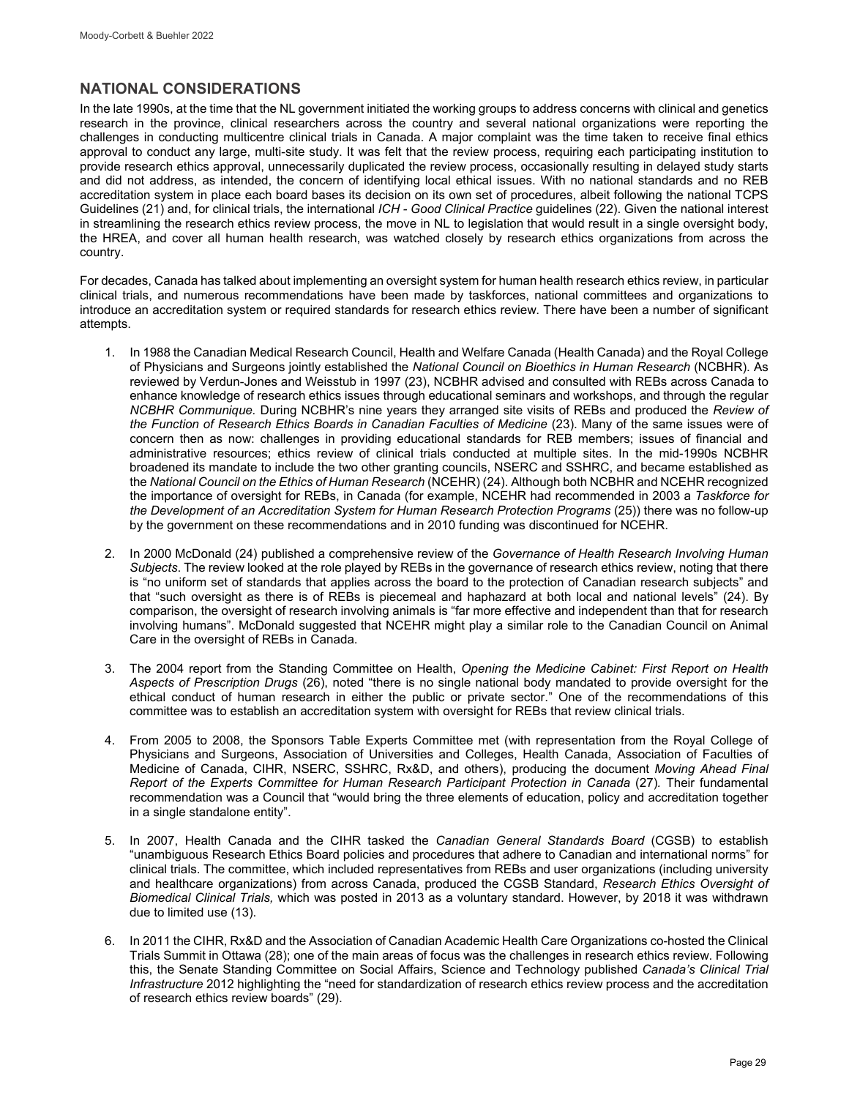## **NATIONAL CONSIDERATIONS**

In the late 1990s, at the time that the NL government initiated the working groups to address concerns with clinical and genetics research in the province, clinical researchers across the country and several national organizations were reporting the challenges in conducting multicentre clinical trials in Canada. A major complaint was the time taken to receive final ethics approval to conduct any large, multi-site study. It was felt that the review process, requiring each participating institution to provide research ethics approval, unnecessarily duplicated the review process, occasionally resulting in delayed study starts and did not address, as intended, the concern of identifying local ethical issues. With no national standards and no REB accreditation system in place each board bases its decision on its own set of procedures, albeit following the national TCPS Guidelines (21) and, for clinical trials, the international *ICH - Good Clinical Practice* guidelines (22). Given the national interest in streamlining the research ethics review process, the move in NL to legislation that would result in a single oversight body, the HREA, and cover all human health research, was watched closely by research ethics organizations from across the country.

For decades, Canada has talked about implementing an oversight system for human health research ethics review, in particular clinical trials, and numerous recommendations have been made by taskforces, national committees and organizations to introduce an accreditation system or required standards for research ethics review. There have been a number of significant attempts.

- 1. In 1988 the Canadian Medical Research Council, Health and Welfare Canada (Health Canada) and the Royal College of Physicians and Surgeons jointly established the *National Council on Bioethics in Human Research* (NCBHR). As reviewed by Verdun-Jones and Weisstub in 1997 (23), NCBHR advised and consulted with REBs across Canada to enhance knowledge of research ethics issues through educational seminars and workshops, and through the regular *NCBHR Communique.* During NCBHR's nine years they arranged site visits of REBs and produced the *Review of the Function of Research Ethics Boards in Canadian Faculties of Medicine* (23). Many of the same issues were of concern then as now: challenges in providing educational standards for REB members; issues of financial and administrative resources; ethics review of clinical trials conducted at multiple sites. In the mid-1990s NCBHR broadened its mandate to include the two other granting councils, NSERC and SSHRC, and became established as the *National Council on the Ethics of Human Research* (NCEHR) (24). Although both NCBHR and NCEHR recognized the importance of oversight for REBs, in Canada (for example, NCEHR had recommended in 2003 a *Taskforce for the Development of an Accreditation System for Human Research Protection Programs* (25)) there was no follow-up by the government on these recommendations and in 2010 funding was discontinued for NCEHR.
- 2. In 2000 McDonald (24) published a comprehensive review of the *Governance of Health Research Involving Human Subjects*. The review looked at the role played by REBs in the governance of research ethics review, noting that there is "no uniform set of standards that applies across the board to the protection of Canadian research subjects" and that "such oversight as there is of REBs is piecemeal and haphazard at both local and national levels" (24). By comparison, the oversight of research involving animals is "far more effective and independent than that for research involving humans". McDonald suggested that NCEHR might play a similar role to the Canadian Council on Animal Care in the oversight of REBs in Canada.
- 3. The 2004 report from the Standing Committee on Health, *Opening the Medicine Cabinet: First Report on Health Aspects of Prescription Drugs* (26), noted "there is no single national body mandated to provide oversight for the ethical conduct of human research in either the public or private sector." One of the recommendations of this committee was to establish an accreditation system with oversight for REBs that review clinical trials.
- 4. From 2005 to 2008, the Sponsors Table Experts Committee met (with representation from the Royal College of Physicians and Surgeons, Association of Universities and Colleges, Health Canada, Association of Faculties of Medicine of Canada, CIHR, NSERC, SSHRC, Rx&D, and others), producing the document *Moving Ahead Final Report of the Experts Committee for Human Research Participant Protection in Canada* (27)*.* Their fundamental recommendation was a Council that "would bring the three elements of education, policy and accreditation together in a single standalone entity".
- 5. In 2007, Health Canada and the CIHR tasked the *Canadian General Standards Board* (CGSB) to establish "unambiguous Research Ethics Board policies and procedures that adhere to Canadian and international norms" for clinical trials. The committee, which included representatives from REBs and user organizations (including university and healthcare organizations) from across Canada, produced the CGSB Standard, *Research Ethics Oversight of Biomedical Clinical Trials,* which was posted in 2013 as a voluntary standard. However, by 2018 it was withdrawn due to limited use (13).
- 6. In 2011 the CIHR, Rx&D and the Association of Canadian Academic Health Care Organizations co-hosted the Clinical Trials Summit in Ottawa (28); one of the main areas of focus was the challenges in research ethics review. Following this, the Senate Standing Committee on Social Affairs, Science and Technology published *Canada's Clinical Trial Infrastructure* 2012 highlighting the "need for standardization of research ethics review process and the accreditation of research ethics review boards" (29).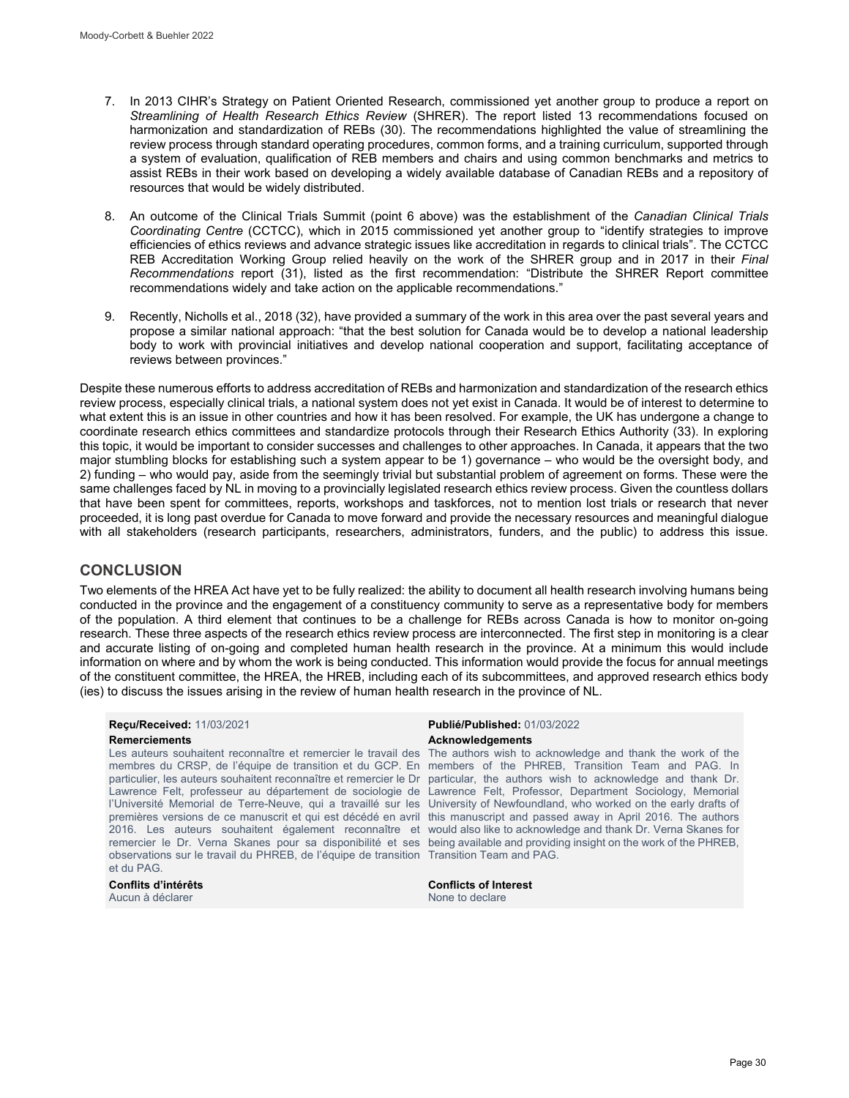- 7. In 2013 CIHR's Strategy on Patient Oriented Research, commissioned yet another group to produce a report on *Streamlining of Health Research Ethics Review* (SHRER). The report listed 13 recommendations focused on harmonization and standardization of REBs (30). The recommendations highlighted the value of streamlining the review process through standard operating procedures, common forms, and a training curriculum, supported through a system of evaluation, qualification of REB members and chairs and using common benchmarks and metrics to assist REBs in their work based on developing a widely available database of Canadian REBs and a repository of resources that would be widely distributed.
- 8. An outcome of the Clinical Trials Summit (point 6 above) was the establishment of the *Canadian Clinical Trials Coordinating Centre* (CCTCC), which in 2015 commissioned yet another group to "identify strategies to improve efficiencies of ethics reviews and advance strategic issues like accreditation in regards to clinical trials". The CCTCC REB Accreditation Working Group relied heavily on the work of the SHRER group and in 2017 in their *Final Recommendations* report (31), listed as the first recommendation: "Distribute the SHRER Report committee recommendations widely and take action on the applicable recommendations."
- 9. Recently, Nicholls et al., 2018 (32), have provided a summary of the work in this area over the past several years and propose a similar national approach: "that the best solution for Canada would be to develop a national leadership body to work with provincial initiatives and develop national cooperation and support, facilitating acceptance of reviews between provinces."

Despite these numerous efforts to address accreditation of REBs and harmonization and standardization of the research ethics review process, especially clinical trials, a national system does not yet exist in Canada. It would be of interest to determine to what extent this is an issue in other countries and how it has been resolved. For example, the UK has undergone a change to coordinate research ethics committees and standardize protocols through their Research Ethics Authority (33). In exploring this topic, it would be important to consider successes and challenges to other approaches. In Canada, it appears that the two major stumbling blocks for establishing such a system appear to be 1) governance – who would be the oversight body, and 2) funding – who would pay, aside from the seemingly trivial but substantial problem of agreement on forms. These were the same challenges faced by NL in moving to a provincially legislated research ethics review process. Given the countless dollars that have been spent for committees, reports, workshops and taskforces, not to mention lost trials or research that never proceeded, it is long past overdue for Canada to move forward and provide the necessary resources and meaningful dialogue with all stakeholders (research participants, researchers, administrators, funders, and the public) to address this issue.

## **CONCLUSION**

Two elements of the HREA Act have yet to be fully realized: the ability to document all health research involving humans being conducted in the province and the engagement of a constituency community to serve as a representative body for members of the population. A third element that continues to be a challenge for REBs across Canada is how to monitor on-going research. These three aspects of the research ethics review process are interconnected. The first step in monitoring is a clear and accurate listing of on-going and completed human health research in the province. At a minimum this would include information on where and by whom the work is being conducted. This information would provide the focus for annual meetings of the constituent committee, the HREA, the HREB, including each of its subcommittees, and approved research ethics body (ies) to discuss the issues arising in the review of human health research in the province of NL.

membres du CRSP, de l'équipe de transition et du GCP. En members of the PHREB, Transition Team and PAG. In particulier, les auteurs souhaitent reconnaître et remercier le Dr particular, the authors wish to acknowledge and thank Dr. Lawrence Felt, professeur au département de sociologie de Lawrence Felt, Professor, Department Sociology, Memorial l'Université Memorial de Terre-Neuve, qui a travaillé sur les University of Newfoundland, who worked on the early drafts of premières versions de ce manuscrit et qui est décédé en avril this manuscript and passed away in April 2016. The authors 2016. Les auteurs souhaitent également reconnaître et would also like to acknowledge and thank Dr. Verna Skanes for remercier le Dr. Verna Skanes pour sa disponibilité et ses being available and providing insight on the work of the PHREB, observations sur le travail du PHREB, de l'équipe de transition Transition Team and PAG. et du PAG.

Aucun à déclarer

#### **Reçu/Received:** 11/03/2021 **Publié/Published:** 01/03/2022 **Remerciements Acknowledgements**

Les auteurs souhaitent reconnaître et remercier le travail des The authors wish to acknowledge and thank the work of the

**Conflits d'intérêts Conflicts of Interest**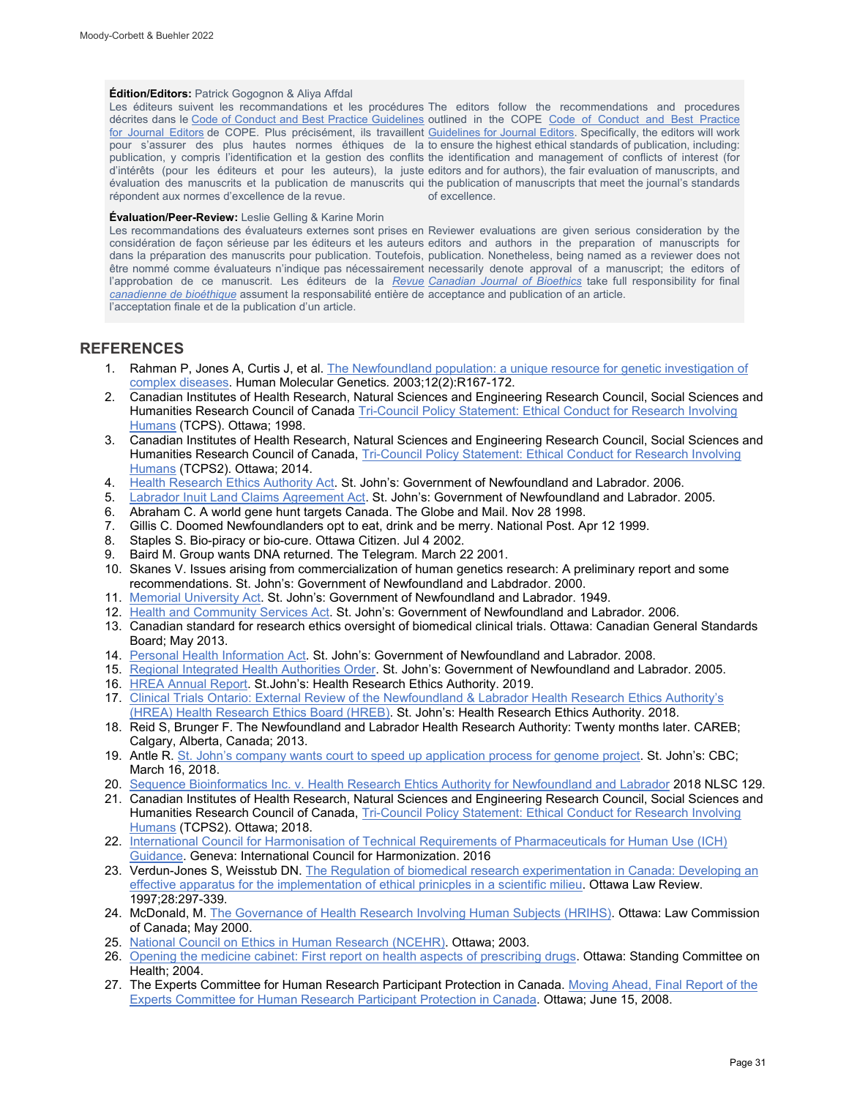#### **Édition/Editors:** Patrick Gogognon & Aliya Affdal

Les éditeurs suivent les recommandations et les procédures The editors follow the recommendations and procedures décrites dans le [Code of Conduct and Best Practice Guidelines](http://publicationethics.org/resources/code-conduct) outlined in the COPE Code of Conduct and Best Practice <u>[for Journal Editors](http://publicationethics.org/resources/code-conduct)</u> de COPE. Plus précisément, ils travaillent <u>Guidelines for Journal Editors</u>. Specifically, the editors will work pour s'assurer des plus hautes normes éthiques de la to ensure the highest ethical standards of publication, including: publication, y compris l'identification et la gestion des conflits the identification and management of conflicts of interest (for d'intérêts (pour les éditeurs et pour les auteurs), la juste editors and for authors), the fair evaluation of manuscripts, and évaluation des manuscrits et la publication de manuscrits qui the publication of manuscripts that meet the journal's standards répondent aux normes d'excellence de la revue. of excellence.

### **Évaluation/Peer-Review:** Leslie Gelling & Karine Morin

Les recommandations des évaluateurs externes sont prises en Reviewer evaluations are given serious consideration by the considération de façon sérieuse par les éditeurs et les auteurs editors and authors in the preparation of manuscripts for dans la préparation des manuscrits pour publication. Toutefois, publication. Nonetheless, being named as a reviewer does not être nommé comme évaluateurs n'indique pas nécessairement necessarily denote approval of a manuscript; the editors of l'approbation de ce manuscrit. Les éditeurs de la <u>*Revue* [Canadian Journal of Bioethics](http://cjb-rcb.ca/)</u> take full responsibility for final *[canadienne de bioéthique](http://cjb-rcb.ca/)* assument la responsabilité entière de acceptance and publication of an article. l'acceptation finale et de la publication d'un article.

## **REFERENCES**

- 1. Rahman P, Jones A, Curtis J, et al. [The Newfoundland population: a unique resource for genetic investigation of](https://pubmed.ncbi.nlm.nih.gov/12915452/)  [complex diseases.](https://pubmed.ncbi.nlm.nih.gov/12915452/) Human Molecular Genetics*.* 2003;12(2):R167-172.
- 2. Canadian Institutes of Health Research, Natural Sciences and Engineering Research Council, Social Sciences and Humanities Research Council of Canada Tri-Council Policy Statement: Ethical Conduct for Research Involving [Humans](http://www.bcmhsus.ca/Documents/tri-council-policy-statement-ethical-conduct-for-research-involving-humans.pdf) (TCPS). Ottawa; 1998.
- 3. Canadian Institutes of Health Research, Natural Sciences and Engineering Research Council, Social Sciences and Humanities Research Council of Canada, [Tri-Council Policy Statement: Ethical Conduct for Research Involving](https://ethics.gc.ca/eng/policy-politique_tcps2-eptc2_initiatives.html)  [Humans](https://ethics.gc.ca/eng/policy-politique_tcps2-eptc2_initiatives.html) (TCPS2). Ottawa; 2014.
- 4. [Health Research Ethics Authority Act.](http://www.assembly.nl.ca/legislation/sr/statutes/h01-2.htm) St. John's: Government of Newfoundland and Labrador. 2006.
- 5. [Labrador Inuit Land Claims Agreement Act.](http://laws-lois.justice.gc.ca/eng/acts/L-4.3/page-1.html) St. John's: Government of Newfoundland and Labrador. 2005.
- 6. Abraham C. A world gene hunt targets Canada. The Globe and Mail. Nov 28 1998.
- 7. Gillis C. Doomed Newfoundlanders opt to eat, drink and be merry. National Post. Apr 12 1999.
- 8. Staples S. Bio-piracy or bio-cure. Ottawa Citizen. Jul 4 2002.
- 9. Baird M. Group wants DNA returned. The Telegram*.* March 22 2001.
- 10. Skanes V. Issues arising from commercialization of human genetics research: A preliminary report and some recommendations. St. John's: Government of Newfoundland and Labdrador. 2000.
- 11. [Memorial University Act.](https://www.assembly.nl.ca/Legislation/sr/statutes/m07.htm) St. John's: Government of Newfoundland and Labrador. 1949.
- 12. [Health and Community Services Act.](https://www.assembly.nl.ca/Legislation/sr/statutes/p37-1.htm) St. John's: Government of Newfoundland and Labrador. 2006.
- 13. Canadian standard for research ethics oversight of biomedical clinical trials. Ottawa: Canadian General Standards Board; May 2013.
- 14. [Personal Health Information Act.](http://assembly.nl.ca/Legislation/sr/statutes/p07-01.htm) St. John's: Government of Newfoundland and Labrador. 2008.
- 15. [Regional Integrated Health Authorities Order.](http://www.assembly.nl.ca/legislation/sr/annualregs/2005/Nr050018.htm) St. John's: Government of Newfoundland and Labrador. 2005.
- 16. [HREA Annual Report.](https://www.hrea.ca/wp-content/uploads/2019/09/HREA-Annual-Report-Final-1.pdf) St.John's: Health Research Ethics Authority. 2019.
- 17. [Clinical Trials Ontario: External Review of the Newfoundland & Labrador Health Research Ethics Authority's](https://www.hrea.ca/wp-content/uploads/2018/11/CTO-Report-HREA-HREB-Oct-2018.pdf)  [\(HREA\) Health Research Ethics Board \(HREB\).](https://www.hrea.ca/wp-content/uploads/2018/11/CTO-Report-HREA-HREB-Oct-2018.pdf) St. John's: Health Research Ethics Authority. 2018.
- 18. Reid S, Brunger F. The Newfoundland and Labrador Health Research Authority: Twenty months later. CAREB; Calgary, Alberta, Canada; 2013.
- 19. Antle R. [St. John's company wants court to speed up application process for genome project.](https://www.cbc.ca/news/canada/newfoundland-labrador/sequence-bio-health-ethics-court-application-1.4578242) St. John's: CBC; March 16, 2018.
- 20. [Sequence Bioinformatics Inc. v. Health Research Ehtics Authority for Newfoundland and Labrador](https://www.canlii.org/en/nl/nlsc/doc/2018/2018nlsc129/2018nlsc129.html) 2018 NLSC 129.
- 21. Canadian Institutes of Health Research, Natural Sciences and Engineering Research Council, Social Sciences and Humanities Research Council of Canada, [Tri-Council Policy Statement: Ethical Conduct for](https://ethics.gc.ca/eng/policy-politique_tcps2-eptc2_2018.html) Research Involving [Humans](https://ethics.gc.ca/eng/policy-politique_tcps2-eptc2_2018.html) (TCPS2). Ottawa; 2018.
- 22. [International Council for Harmonisation of Technical Requirements of Pharmaceuticals for Human Use \(ICH\)](https://www.ich.org/page/efficacy-guidelines#6)  [Guidance.](https://www.ich.org/page/efficacy-guidelines#6) Geneva: International Council for Harmonization. 2016
- 23. Verdun-Jones S, Weisstub DN. The Regulation of biomedical research experimentation in Canada: Developing an [effective apparatus for the implementation of ethical prinicples in a scientific milieu.](https://www.canlii.org/en/commentary/doc/1997CanLIIDocs32#!fragment//BQCwhgziBcwMYgK4DsDWszIQewE4BUBTADwBdoByCgSgBpltTCIBFRQ3AT0otokLC4EbDtyp8BQkAGU8pAELcASgFEAMioBqAQQByAYRW1SYAEbRS2ONWpA) Ottawa Law Review. 1997;28:297-339.
- 24. McDonald, M[. The Governance of Health Research Involving Human Subjects \(HRIHS\).](https://dalspace.library.dal.ca/bitstream/handle/10222/10282/Macdonald%20Research%20Governance%20Health%20Research%20EN.pdf?sequence=1) Ottawa: Law Commission of Canada; May 2000.
- 25. [National Council on Ethics in Human Research \(NCEHR\).](http://www.ncehr-cnerh.org/) Ottawa; 2003.
- 26. [Opening the medicine cabinet: First report on health aspects of prescribing drugs.](http://www.whp-apsf.ca/pdf/OpeningtheMedicinecabinet.pdf) Ottawa: Standing Committee on Health; 2004.
- 27. The Experts Committee for Human Research Participant Protection in Canada. [Moving Ahead, Final Report of the](https://cdn.dal.ca/content/dam/dalhousie/pdf/sites/noveltechethics/Moving_Ahead.pdf)  [Experts Committee for Human Research Participant Protection in Canada.](https://cdn.dal.ca/content/dam/dalhousie/pdf/sites/noveltechethics/Moving_Ahead.pdf) Ottawa; June 15, 2008.